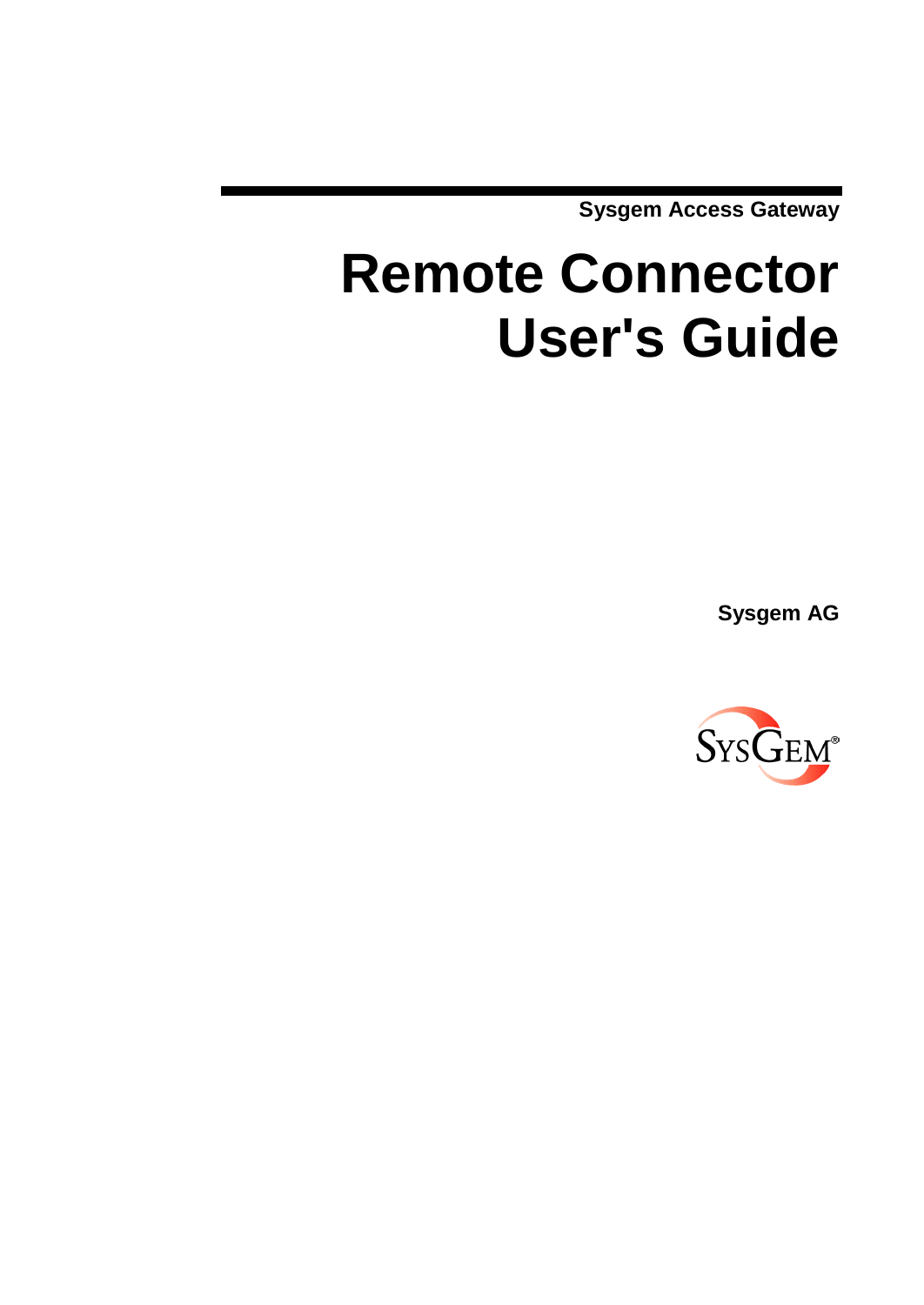**Sysgem Access Gateway**

# **Remote Connector User's Guide**

**Sysgem AG**

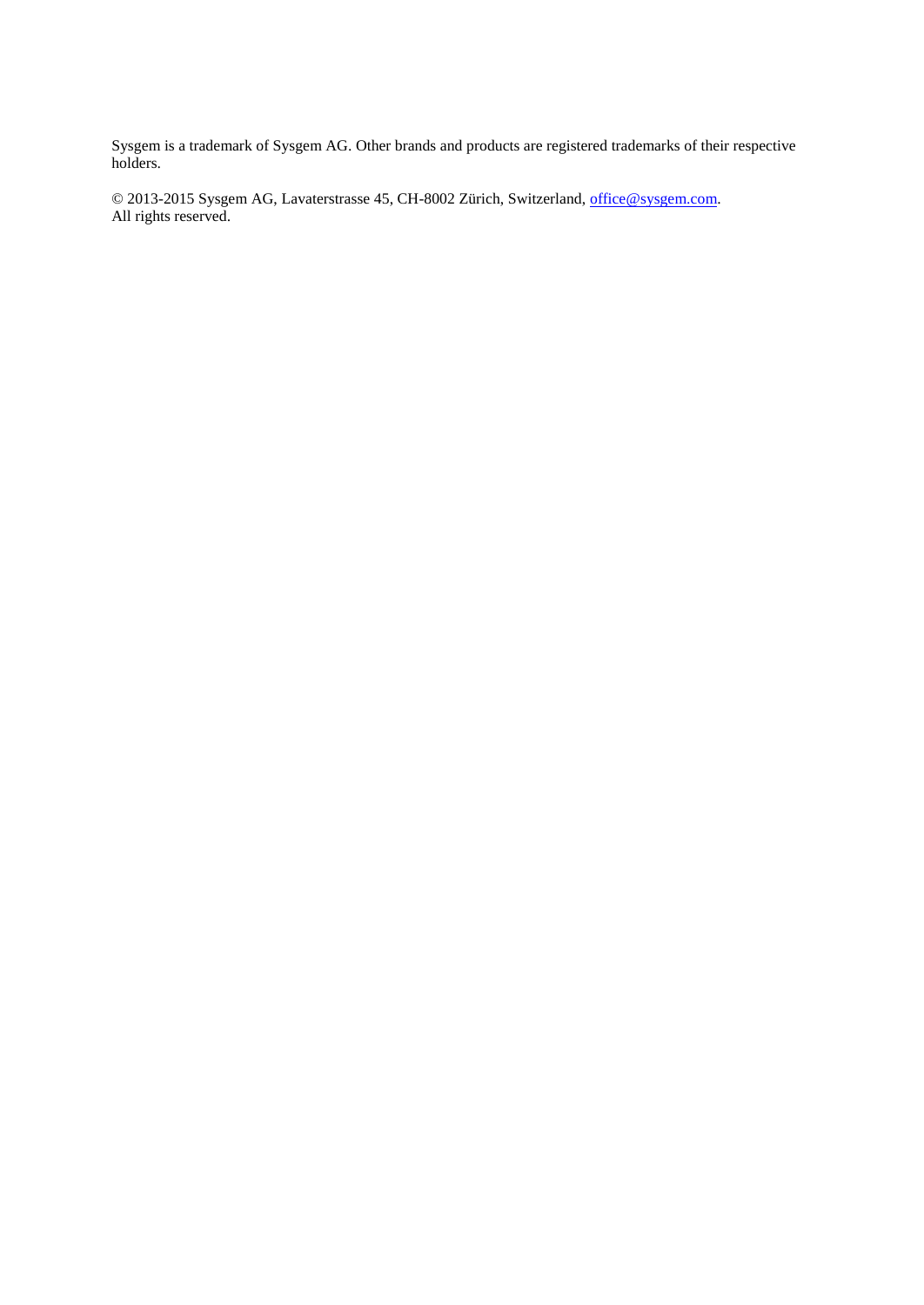Sysgem is a trademark of Sysgem AG. Other brands and products are registered trademarks of their respective holders.

© 2013-2015 Sysgem AG, Lavaterstrasse 45, CH-8002 Zürich, Switzerland, [office@sysgem.com.](mailto:office@sysgem.com) All rights reserved.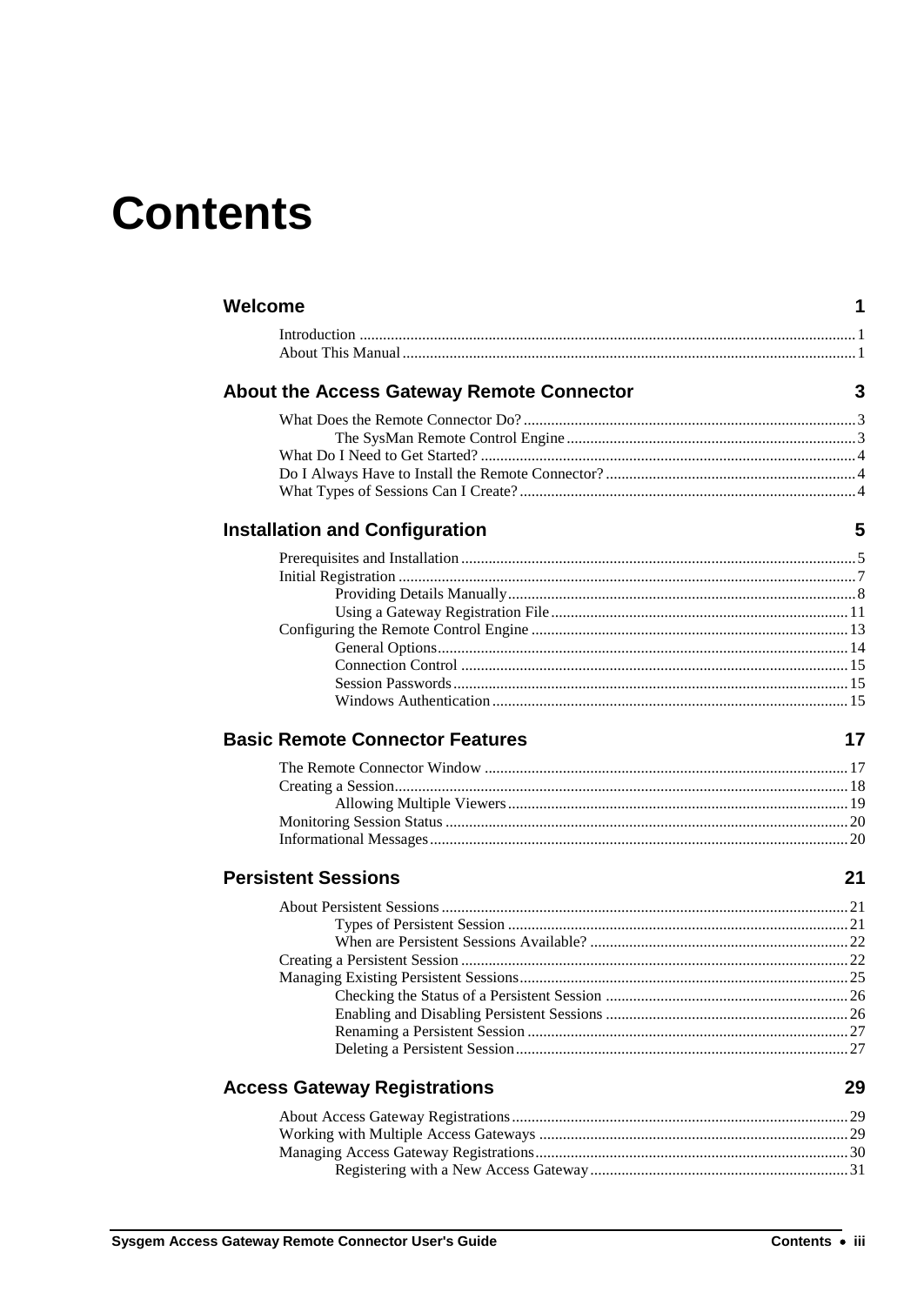# **Contents**

| Welcome                                          | 1  |
|--------------------------------------------------|----|
|                                                  |    |
| <b>About the Access Gateway Remote Connector</b> | 3  |
|                                                  |    |
|                                                  |    |
|                                                  |    |
|                                                  |    |
| <b>Installation and Configuration</b>            | 5  |
|                                                  |    |
|                                                  |    |
|                                                  |    |
|                                                  |    |
|                                                  |    |
|                                                  |    |
|                                                  |    |
|                                                  |    |
|                                                  |    |
| <b>Basic Remote Connector Features</b>           | 17 |
|                                                  |    |
|                                                  |    |
|                                                  |    |
|                                                  |    |
|                                                  |    |
| <b>Persistent Sessions</b>                       | 21 |
|                                                  |    |
|                                                  |    |
|                                                  |    |
|                                                  |    |
|                                                  |    |
|                                                  |    |
|                                                  |    |
|                                                  |    |
|                                                  |    |
| <b>Access Gateway Registrations</b>              | 29 |
|                                                  |    |
|                                                  |    |
|                                                  |    |
|                                                  |    |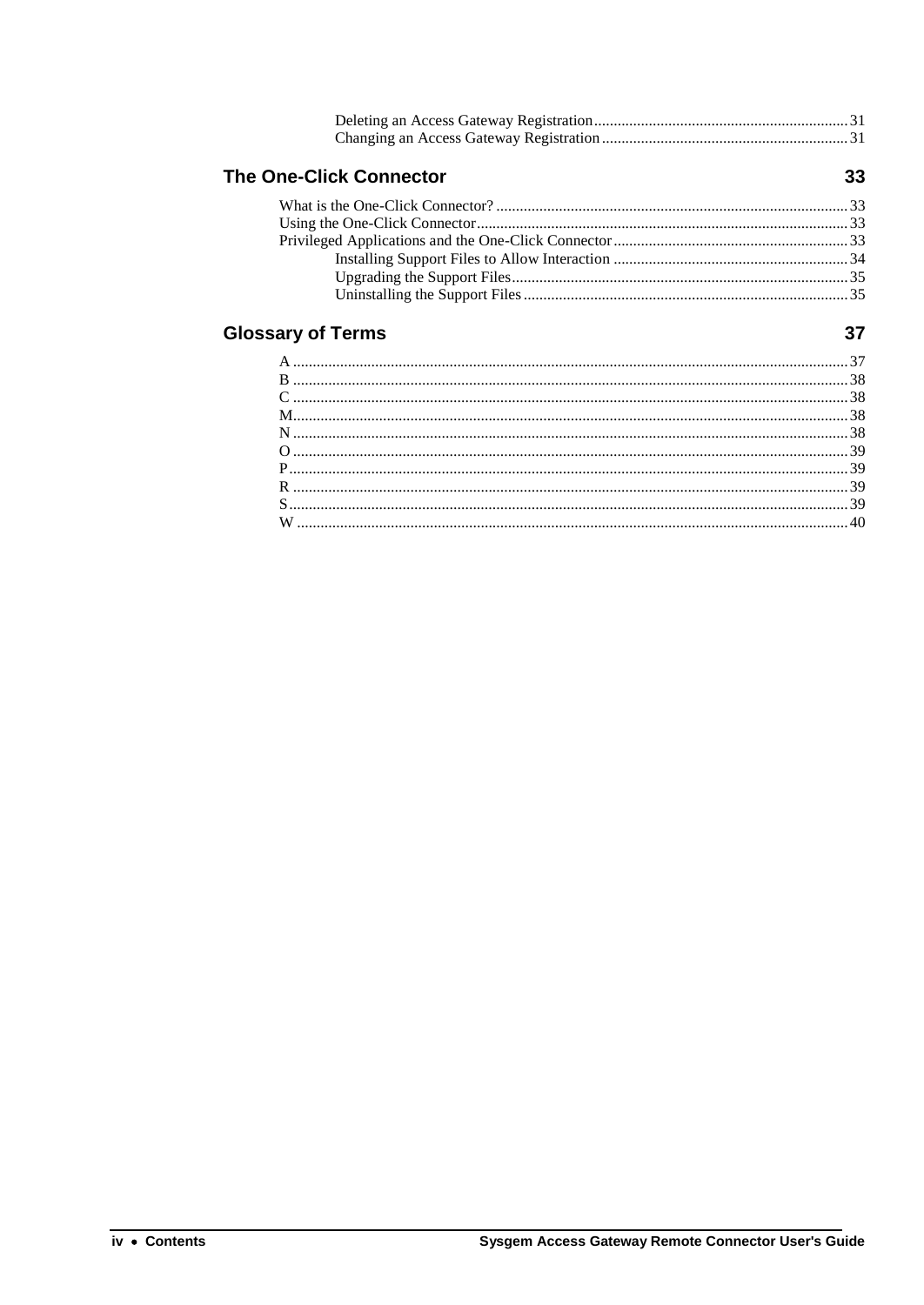| <b>The One-Click Connector</b> | 33 |
|--------------------------------|----|
|                                |    |
|                                |    |
|                                |    |
|                                |    |
|                                |    |
|                                |    |

## **Glossary of Terms**

### $37$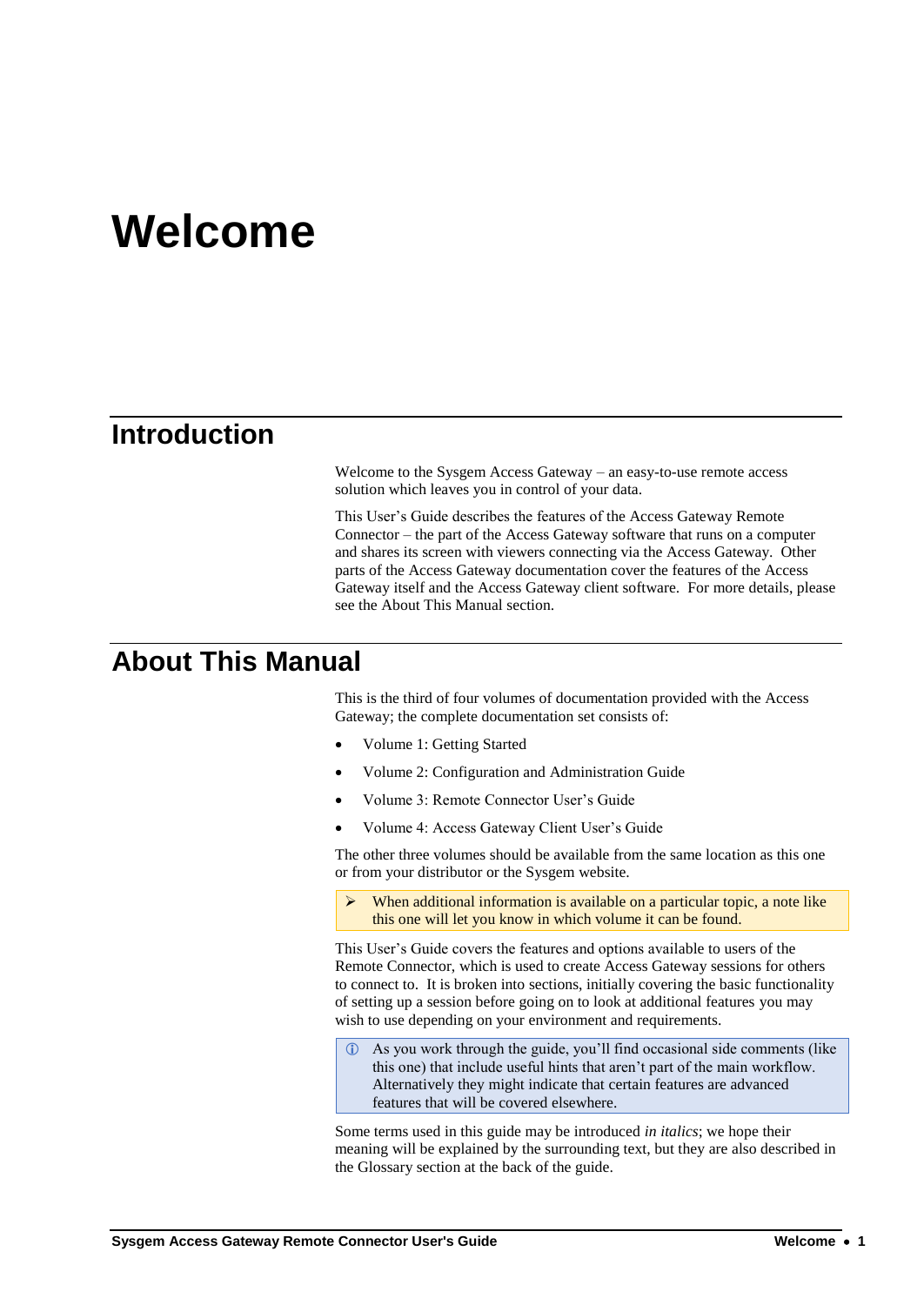# **Welcome**

# **Introduction**

Welcome to the Sysgem Access Gateway – an easy-to-use remote access solution which leaves you in control of your data.

This User's Guide describes the features of the Access Gateway Remote Connector – the part of the Access Gateway software that runs on a computer and shares its screen with viewers connecting via the Access Gateway. Other parts of the Access Gateway documentation cover the features of the Access Gateway itself and the Access Gateway client software. For more details, please see the [About This Manual](#page-4-0) section.

## <span id="page-4-0"></span>**About This Manual**

This is the third of four volumes of documentation provided with the Access Gateway; the complete documentation set consists of:

- Volume 1: Getting Started
- Volume 2: Configuration and Administration Guide
- Volume 3: Remote Connector User's Guide
- Volume 4: Access Gateway Client User's Guide

The other three volumes should be available from the same location as this one or from your distributor or the Sysgem website.

 When additional information is available on a particular topic, a note like this one will let you know in which volume it can be found.

This User's Guide covers the features and options available to users of the Remote Connector, which is used to create Access Gateway sessions for others to connect to. It is broken into sections, initially covering the basic functionality of setting up a session before going on to look at additional features you may wish to use depending on your environment and requirements.

 As you work through the guide, you'll find occasional side comments (like this one) that include useful hints that aren't part of the main workflow. Alternatively they might indicate that certain features are advanced features that will be covered elsewhere.

Some terms used in this guide may be introduced *in italics*; we hope their meaning will be explained by the surrounding text, but they are also described in the Glossary section at the back of the guide.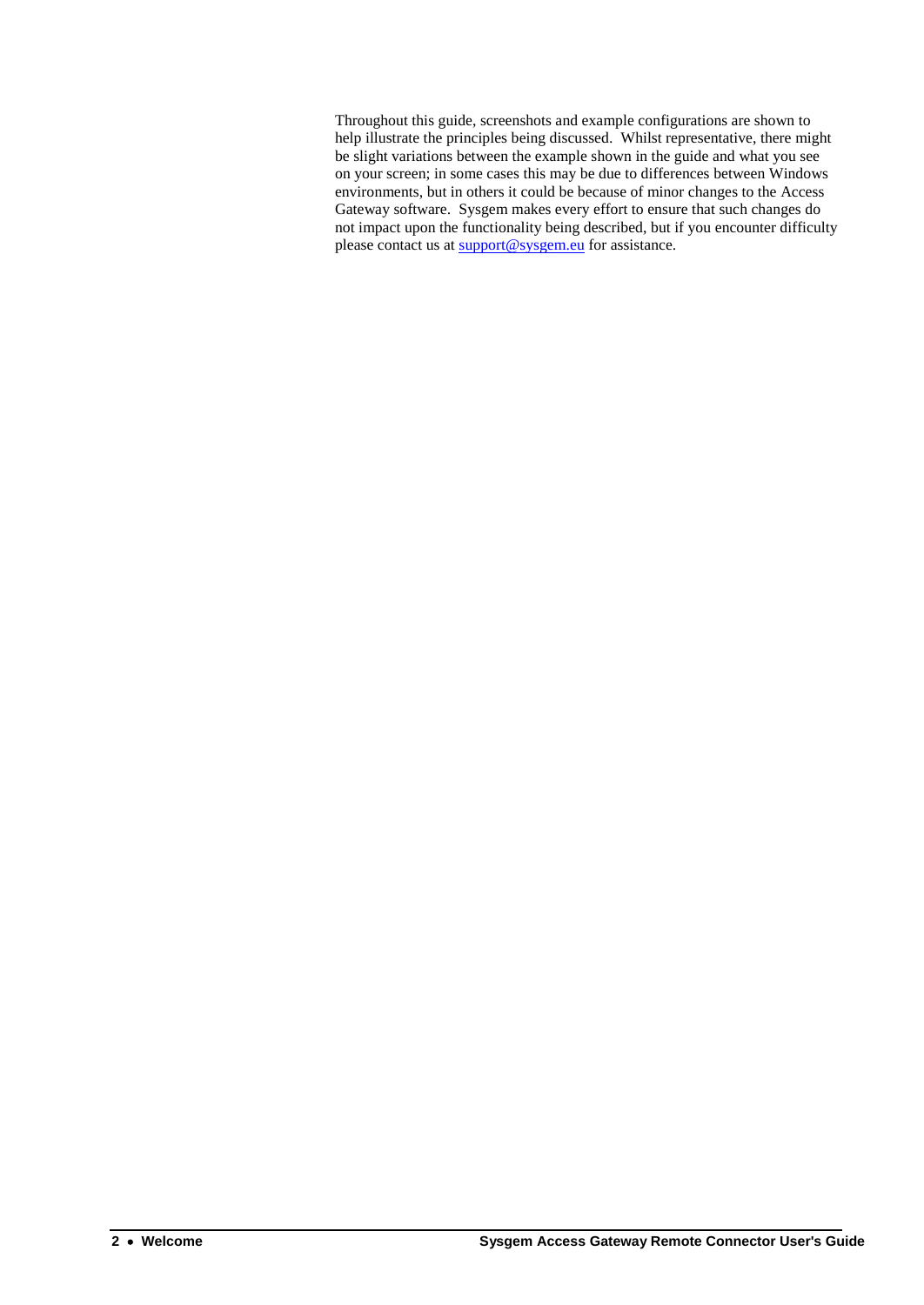Throughout this guide, screenshots and example configurations are shown to help illustrate the principles being discussed. Whilst representative, there might be slight variations between the example shown in the guide and what you see on your screen; in some cases this may be due to differences between Windows environments, but in others it could be because of minor changes to the Access Gateway software. Sysgem makes every effort to ensure that such changes do not impact upon the functionality being described, but if you encounter difficulty please contact us at [support@sysgem.eu](mailto:support@sysgem.eu) for assistance.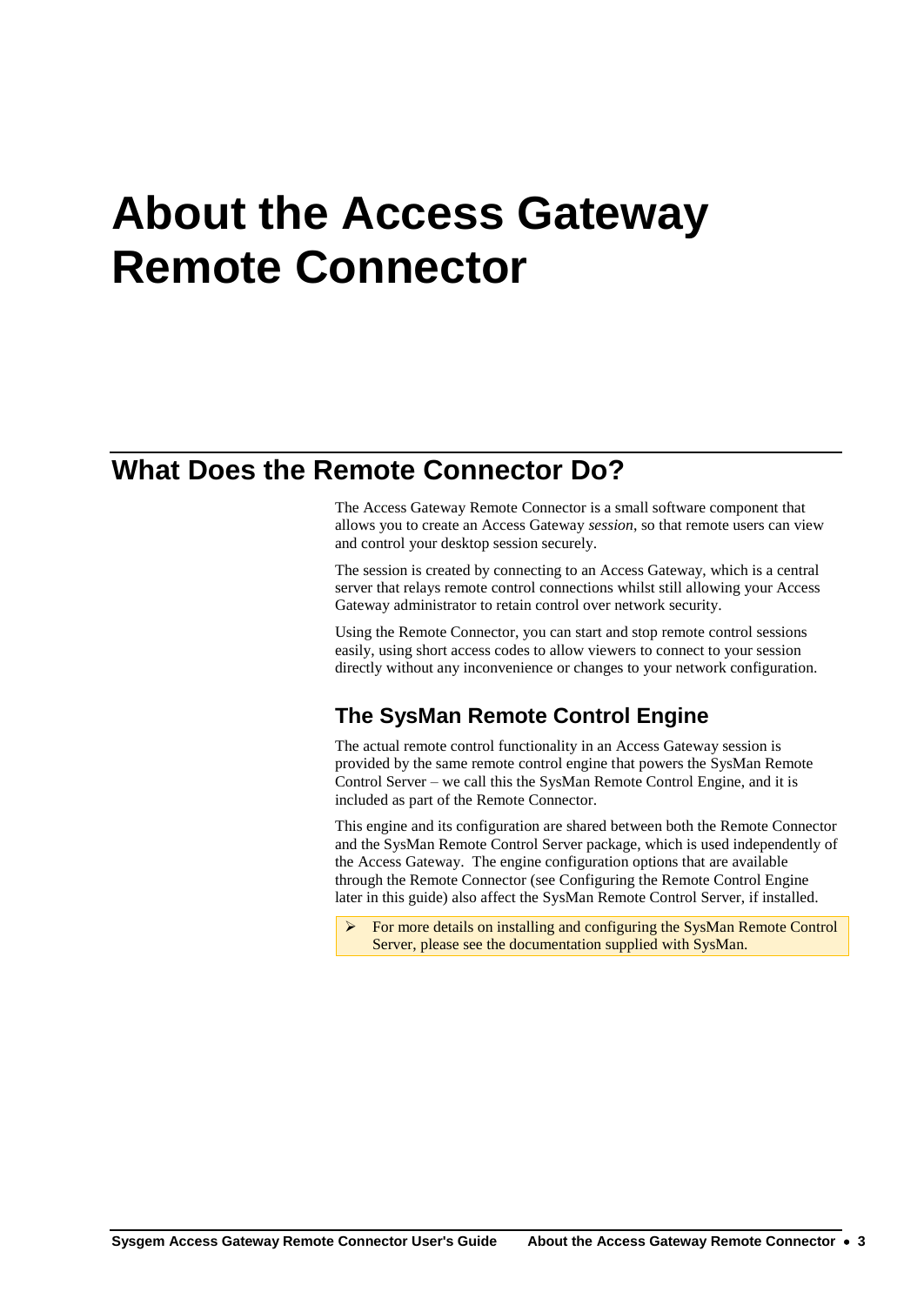# **About the Access Gateway Remote Connector**

## **What Does the Remote Connector Do?**

The Access Gateway Remote Connector is a small software component that allows you to create an Access Gateway *session*, so that remote users can view and control your desktop session securely.

The session is created by connecting to an Access Gateway, which is a central server that relays remote control connections whilst still allowing your Access Gateway administrator to retain control over network security.

Using the Remote Connector, you can start and stop remote control sessions easily, using short access codes to allow viewers to connect to your session directly without any inconvenience or changes to your network configuration.

## **The SysMan Remote Control Engine**

The actual remote control functionality in an Access Gateway session is provided by the same remote control engine that powers the SysMan Remote Control Server – we call this the SysMan Remote Control Engine, and it is included as part of the Remote Connector.

This engine and its configuration are shared between both the Remote Connector and the SysMan Remote Control Server package, which is used independently of the Access Gateway. The engine configuration options that are available through the Remote Connector (se[e Configuring the Remote Control Engine](#page-16-0) later in this guide) also affect the SysMan Remote Control Server, if installed.

 For more details on installing and configuring the SysMan Remote Control Server, please see the documentation supplied with SysMan.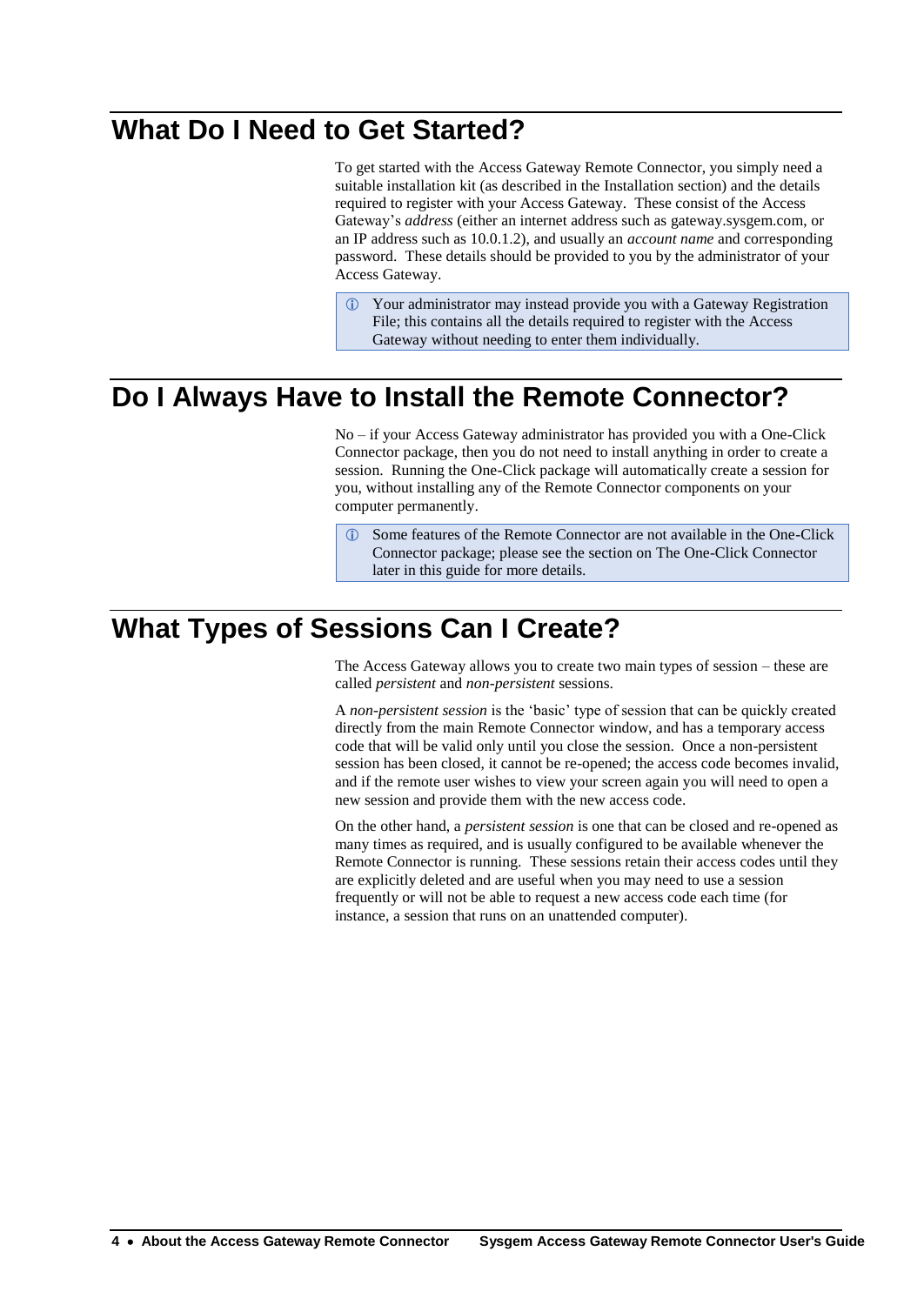# **What Do I Need to Get Started?**

To get started with the Access Gateway Remote Connector, you simply need a suitable installation kit (as described in the [Installation](#page-8-0) section) and the details required to register with your Access Gateway. These consist of the Access Gateway's *address* (either an internet address such as gateway.sysgem.com, or an IP address such as 10.0.1.2), and usually an *account name* and corresponding password. These details should be provided to you by the administrator of your Access Gateway.

 Your administrator may instead provide you with a Gateway Registration File; this contains all the details required to register with the Access Gateway without needing to enter them individually.

# **Do I Always Have to Install the Remote Connector?**

No – if your Access Gateway administrator has provided you with a One-Click Connector package, then you do not need to install anything in order to create a session. Running the One-Click package will automatically create a session for you, without installing any of the Remote Connector components on your computer permanently.

 Some features of the Remote Connector are not available in the One-Click Connector package; please see the section on [The One-Click Connector](#page-36-0) later in this guide for more details.

# **What Types of Sessions Can I Create?**

The Access Gateway allows you to create two main types of session – these are called *persistent* and *non-persistent* sessions.

A *non-persistent session* is the 'basic' type of session that can be quickly created directly from the main Remote Connector window, and has a temporary access code that will be valid only until you close the session. Once a non-persistent session has been closed, it cannot be re-opened; the access code becomes invalid, and if the remote user wishes to view your screen again you will need to open a new session and provide them with the new access code.

On the other hand, a *persistent session* is one that can be closed and re-opened as many times as required, and is usually configured to be available whenever the Remote Connector is running. These sessions retain their access codes until they are explicitly deleted and are useful when you may need to use a session frequently or will not be able to request a new access code each time (for instance, a session that runs on an unattended computer).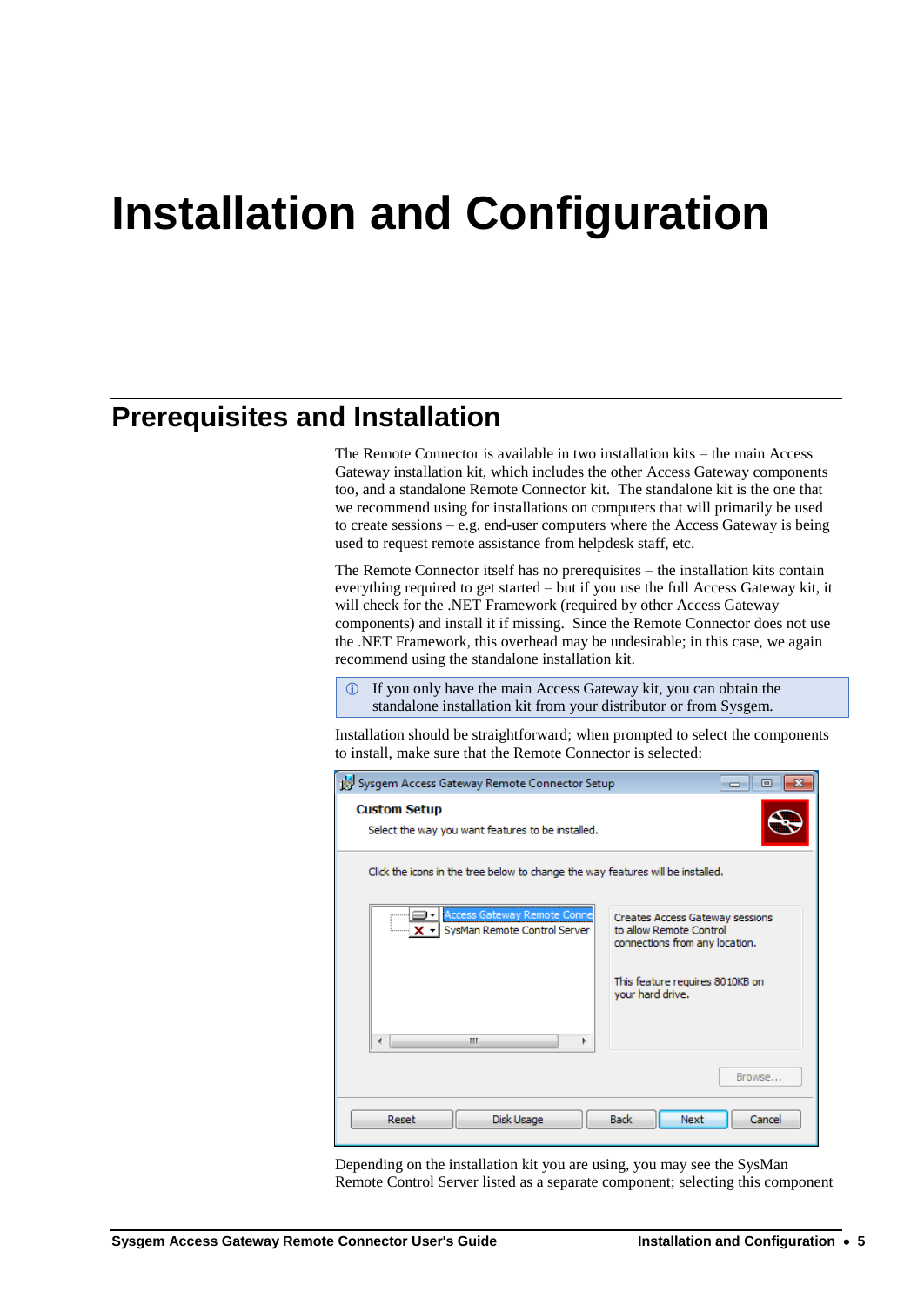# <span id="page-8-0"></span>**Installation and Configuration**

## **Prerequisites and Installation**

The Remote Connector is available in two installation kits – the main Access Gateway installation kit, which includes the other Access Gateway components too, and a standalone Remote Connector kit. The standalone kit is the one that we recommend using for installations on computers that will primarily be used to create sessions – e.g. end-user computers where the Access Gateway is being used to request remote assistance from helpdesk staff, etc.

The Remote Connector itself has no prerequisites – the installation kits contain everything required to get started – but if you use the full Access Gateway kit, it will check for the .NET Framework (required by other Access Gateway components) and install it if missing. Since the Remote Connector does not use the .NET Framework, this overhead may be undesirable; in this case, we again recommend using the standalone installation kit.

 If you only have the main Access Gateway kit, you can obtain the standalone installation kit from your distributor or from Sysgem.

Installation should be straightforward; when prompted to select the components to install, make sure that the Remote Connector is selected:

| Sysgem Access Gateway Remote Connector Setup                                                                                                                                 | $\blacksquare$                                      |  |  |  |
|------------------------------------------------------------------------------------------------------------------------------------------------------------------------------|-----------------------------------------------------|--|--|--|
| <b>Custom Setup</b><br>Select the way you want features to be installed.                                                                                                     |                                                     |  |  |  |
| Click the icons in the tree below to change the way features will be installed.                                                                                              |                                                     |  |  |  |
| Access Gateway Remote Conne<br>⊟►<br>Creates Access Gateway sessions<br>to allow Remote Control<br><b>X</b> - SysMan Remote Control Server<br>connections from any location. |                                                     |  |  |  |
|                                                                                                                                                                              | This feature requires 8010KB on<br>your hard drive. |  |  |  |
| ш<br>۱                                                                                                                                                                       |                                                     |  |  |  |
| Browse                                                                                                                                                                       |                                                     |  |  |  |
| <b>Back</b><br>Reset<br>Disk Usage<br>Cancel<br>Next                                                                                                                         |                                                     |  |  |  |

Depending on the installation kit you are using, you may see the SysMan Remote Control Server listed as a separate component; selecting this component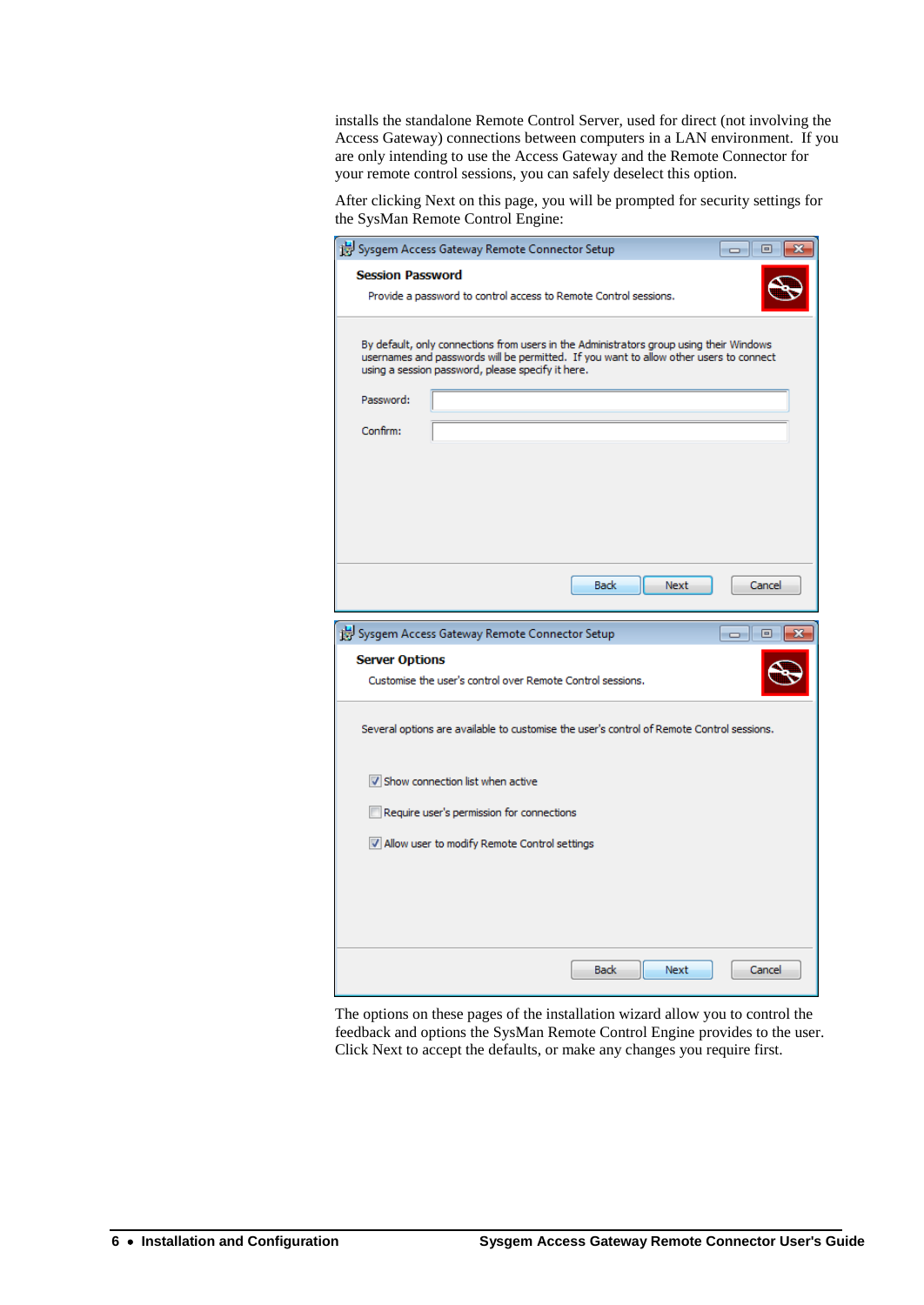installs the standalone Remote Control Server, used for direct (not involving the Access Gateway) connections between computers in a LAN environment. If you are only intending to use the Access Gateway and the Remote Connector for your remote control sessions, you can safely deselect this option.

After clicking Next on this page, you will be prompted for security settings for the SysMan Remote Control Engine:

| <b>Session Password</b><br>Provide a password to control access to Remote Control sessions.<br>By default, only connections from users in the Administrators group using their Windows<br>usernames and passwords will be permitted. If you want to allow other users to connect<br>using a session password, please specify it here. |  |
|---------------------------------------------------------------------------------------------------------------------------------------------------------------------------------------------------------------------------------------------------------------------------------------------------------------------------------------|--|
|                                                                                                                                                                                                                                                                                                                                       |  |
|                                                                                                                                                                                                                                                                                                                                       |  |
|                                                                                                                                                                                                                                                                                                                                       |  |
| Password:                                                                                                                                                                                                                                                                                                                             |  |
| Confirm:                                                                                                                                                                                                                                                                                                                              |  |
|                                                                                                                                                                                                                                                                                                                                       |  |
|                                                                                                                                                                                                                                                                                                                                       |  |
|                                                                                                                                                                                                                                                                                                                                       |  |
|                                                                                                                                                                                                                                                                                                                                       |  |
| Next<br><b>Back</b><br>Cancel                                                                                                                                                                                                                                                                                                         |  |
| Sysgem Access Gateway Remote Connector Setup<br>回                                                                                                                                                                                                                                                                                     |  |
| <b>Server Options</b>                                                                                                                                                                                                                                                                                                                 |  |
| Customise the user's control over Remote Control sessions.                                                                                                                                                                                                                                                                            |  |
| Several options are available to customise the user's control of Remote Control sessions.                                                                                                                                                                                                                                             |  |
| Show connection list when active                                                                                                                                                                                                                                                                                                      |  |
| Require user's permission for connections                                                                                                                                                                                                                                                                                             |  |
| M Allow user to modify Remote Control settings                                                                                                                                                                                                                                                                                        |  |
|                                                                                                                                                                                                                                                                                                                                       |  |
|                                                                                                                                                                                                                                                                                                                                       |  |
|                                                                                                                                                                                                                                                                                                                                       |  |
|                                                                                                                                                                                                                                                                                                                                       |  |

The options on these pages of the installation wizard allow you to control the feedback and options the SysMan Remote Control Engine provides to the user. Click Next to accept the defaults, or make any changes you require first.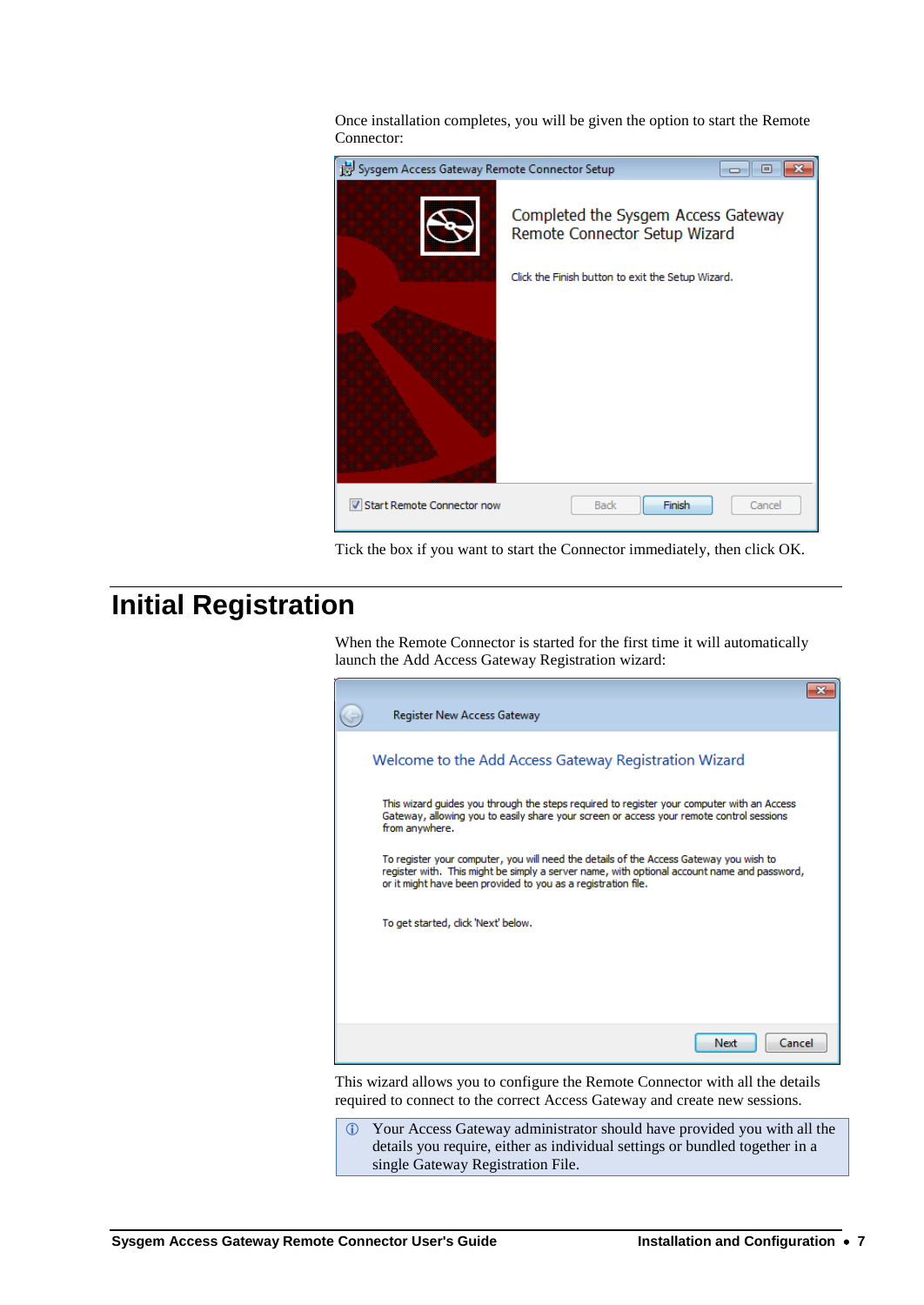Once installation completes, you will be given the option to start the Remote Connector:

| Sysgem Access Gateway Remote Connector Setup<br>▣<br>--- |                                                                      |        |  |  |
|----------------------------------------------------------|----------------------------------------------------------------------|--------|--|--|
|                                                          | Completed the Sysgem Access Gateway<br>Remote Connector Setup Wizard |        |  |  |
|                                                          | Click the Finish button to exit the Setup Wizard.                    |        |  |  |
|                                                          |                                                                      |        |  |  |
| V Start Remote Connector now                             | Finish<br><b>Back</b>                                                | Cancel |  |  |

Tick the box if you want to start the Connector immediately, then click OK.

# <span id="page-10-0"></span>**Initial Registration**

When the Remote Connector is started for the first time it will automatically launch the Add Access Gateway Registration wizard:

|                                                                                                                                                                                                                                                        | Register New Access Gateway                                                                                                                                                                              |  |
|--------------------------------------------------------------------------------------------------------------------------------------------------------------------------------------------------------------------------------------------------------|----------------------------------------------------------------------------------------------------------------------------------------------------------------------------------------------------------|--|
| Welcome to the Add Access Gateway Registration Wizard                                                                                                                                                                                                  |                                                                                                                                                                                                          |  |
|                                                                                                                                                                                                                                                        | This wizard guides you through the steps required to register your computer with an Access<br>Gateway, allowing you to easily share your screen or access your remote control sessions<br>from anywhere. |  |
| To register your computer, you will need the details of the Access Gateway you wish to<br>register with. This might be simply a server name, with optional account name and password,<br>or it might have been provided to you as a registration file. |                                                                                                                                                                                                          |  |
|                                                                                                                                                                                                                                                        | To get started, click 'Next' below.                                                                                                                                                                      |  |
|                                                                                                                                                                                                                                                        |                                                                                                                                                                                                          |  |
|                                                                                                                                                                                                                                                        | Next<br>Cancel                                                                                                                                                                                           |  |

This wizard allows you to configure the Remote Connector with all the details required to connect to the correct Access Gateway and create new sessions.

 Your Access Gateway administrator should have provided you with all the details you require, either as individual settings or bundled together in a single Gateway Registration File.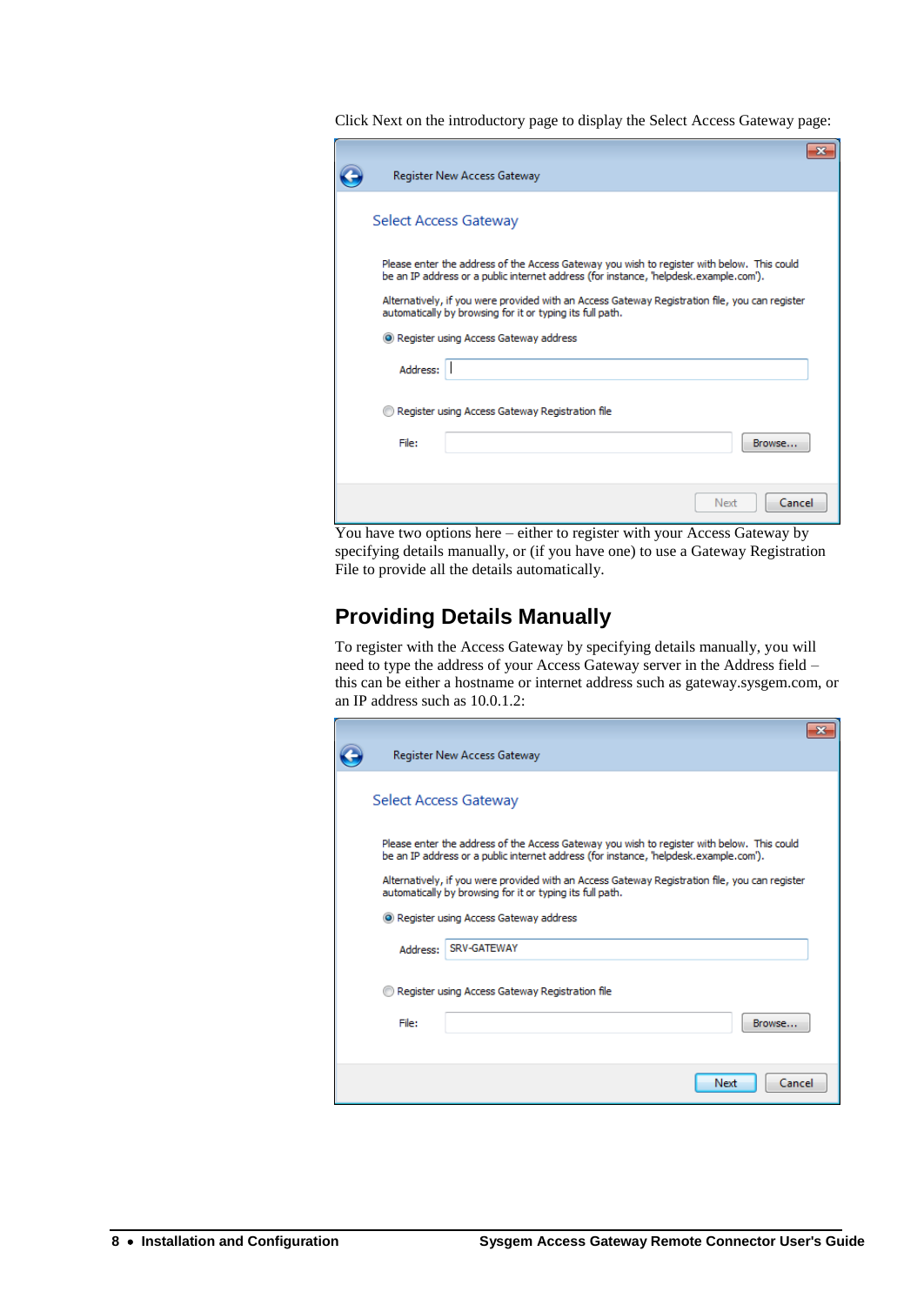Click Next on the introductory page to display the Select Access Gateway page:

|                                                                                                                                                                                     | Register New Access Gateway                     |        |
|-------------------------------------------------------------------------------------------------------------------------------------------------------------------------------------|-------------------------------------------------|--------|
| Select Access Gateway                                                                                                                                                               |                                                 |        |
| Please enter the address of the Access Gateway you wish to register with below. This could<br>be an IP address or a public internet address (for instance, 'helpdesk.example.com'). |                                                 |        |
| Alternatively, if you were provided with an Access Gateway Registration file, you can register<br>automatically by browsing for it or typing its full path.                         |                                                 |        |
| • Register using Access Gateway address                                                                                                                                             |                                                 |        |
| Address:                                                                                                                                                                            |                                                 |        |
|                                                                                                                                                                                     | Register using Access Gateway Registration file |        |
| File:                                                                                                                                                                               |                                                 | Browse |
|                                                                                                                                                                                     |                                                 |        |
|                                                                                                                                                                                     | Next                                            | Cancel |

You have two options here – either to register with your Access Gateway by specifying details manually, or (if you have one) to use a Gateway Registration File to provide all the details automatically.

### **Providing Details Manually**

To register with the Access Gateway by specifying details manually, you will need to type the address of your Access Gateway server in the Address field – this can be either a hostname or internet address such as gateway.sysgem.com, or an IP address such as 10.0.1.2:

|                                                                                                                                                                                     | Register New Access Gateway                     |  |
|-------------------------------------------------------------------------------------------------------------------------------------------------------------------------------------|-------------------------------------------------|--|
|                                                                                                                                                                                     |                                                 |  |
|                                                                                                                                                                                     | Select Access Gateway                           |  |
| Please enter the address of the Access Gateway you wish to register with below. This could<br>be an IP address or a public internet address (for instance, 'helpdesk.example.com'). |                                                 |  |
| Alternatively, if you were provided with an Access Gateway Registration file, you can register<br>automatically by browsing for it or typing its full path.                         |                                                 |  |
| • Register using Access Gateway address                                                                                                                                             |                                                 |  |
| Address:                                                                                                                                                                            | SRV-GATEWAY                                     |  |
|                                                                                                                                                                                     | Register using Access Gateway Registration file |  |
| File:                                                                                                                                                                               | Browse                                          |  |
|                                                                                                                                                                                     |                                                 |  |
|                                                                                                                                                                                     | Cancel<br>Next                                  |  |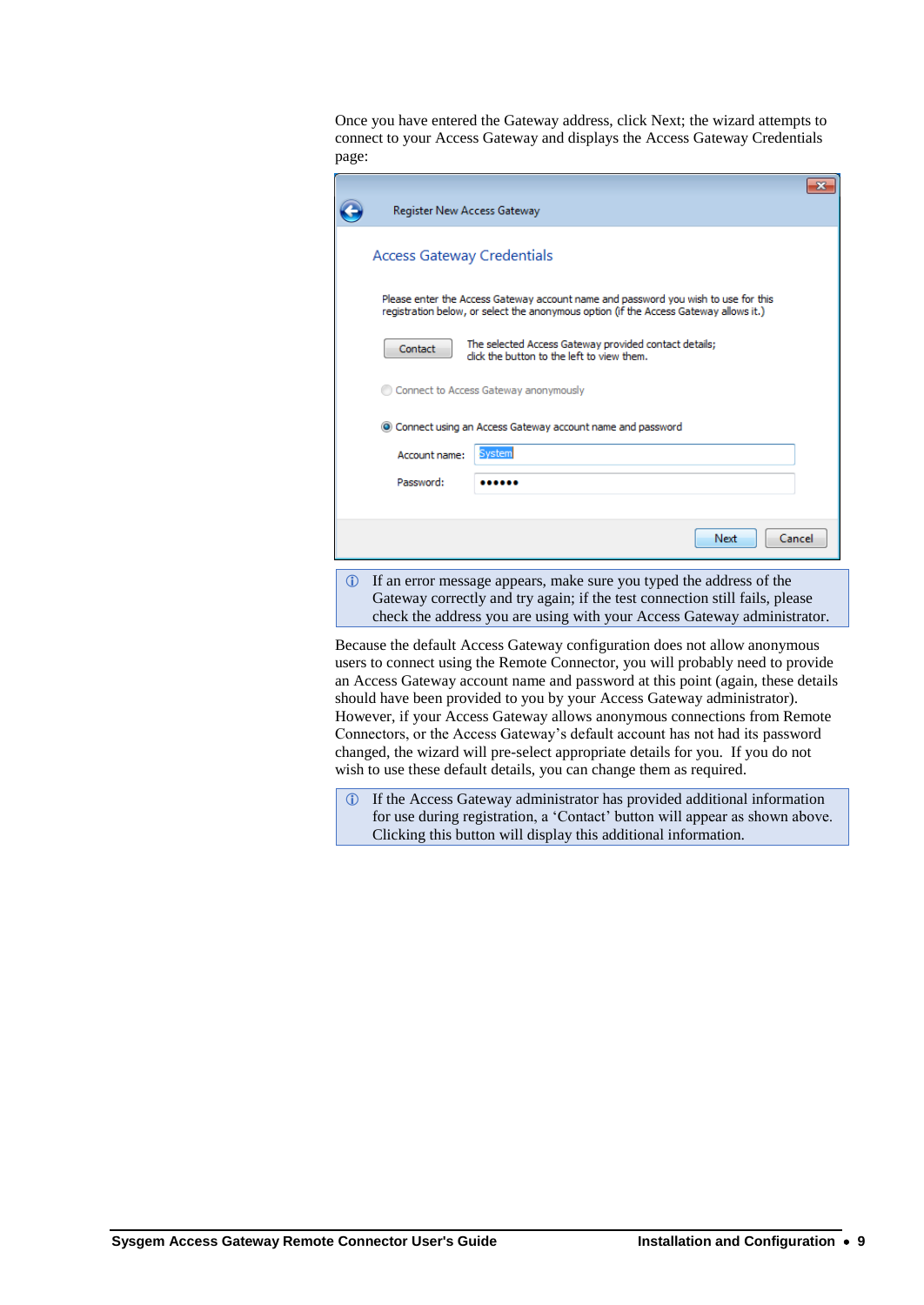Once you have entered the Gateway address, click Next; the wizard attempts to connect to your Access Gateway and displays the Access Gateway Credentials page:

| Register New Access Gateway       |                                                                                                                                                                             |  |
|-----------------------------------|-----------------------------------------------------------------------------------------------------------------------------------------------------------------------------|--|
| <b>Access Gateway Credentials</b> |                                                                                                                                                                             |  |
|                                   | Please enter the Access Gateway account name and password you wish to use for this<br>registration below, or select the anonymous option (if the Access Gateway allows it.) |  |
| Contact                           | The selected Access Gateway provided contact details;<br>click the button to the left to view them.                                                                         |  |
|                                   | Connect to Access Gateway anonymously                                                                                                                                       |  |
|                                   | • Connect using an Access Gateway account name and password                                                                                                                 |  |
| Account name:                     | Svsteml                                                                                                                                                                     |  |
| Password:                         |                                                                                                                                                                             |  |
|                                   |                                                                                                                                                                             |  |
|                                   | Cancel<br>Next                                                                                                                                                              |  |

 If an error message appears, make sure you typed the address of the Gateway correctly and try again; if the test connection still fails, please check the address you are using with your Access Gateway administrator.

Because the default Access Gateway configuration does not allow anonymous users to connect using the Remote Connector, you will probably need to provide an Access Gateway account name and password at this point (again, these details should have been provided to you by your Access Gateway administrator). However, if your Access Gateway allows anonymous connections from Remote Connectors, or the Access Gateway's default account has not had its password changed, the wizard will pre-select appropriate details for you. If you do not wish to use these default details, you can change them as required.

 If the Access Gateway administrator has provided additional information for use during registration, a 'Contact' button will appear as shown above. Clicking this button will display this additional information.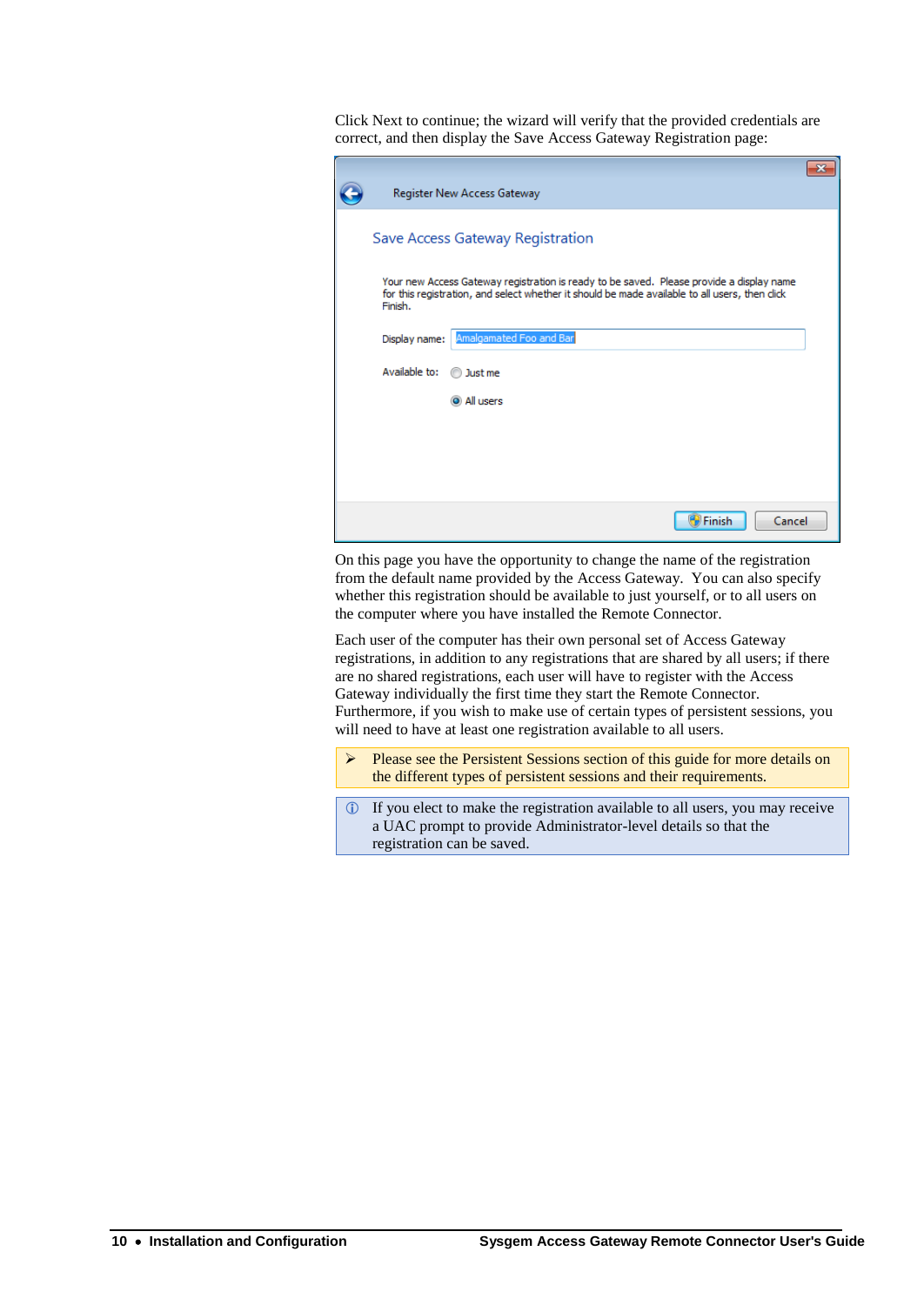Click Next to continue; the wizard will verify that the provided credentials are correct, and then display the Save Access Gateway Registration page:

| Register New Access Gateway                                                                                                                                                                           |  |
|-------------------------------------------------------------------------------------------------------------------------------------------------------------------------------------------------------|--|
| Save Access Gateway Registration                                                                                                                                                                      |  |
| Your new Access Gateway registration is ready to be saved. Please provide a display name<br>for this registration, and select whether it should be made available to all users, then click<br>Finish. |  |
| Amalgamated Foo and Bar<br>Display name:                                                                                                                                                              |  |
| Available to:<br>Just me                                                                                                                                                                              |  |
| all users                                                                                                                                                                                             |  |
|                                                                                                                                                                                                       |  |
|                                                                                                                                                                                                       |  |
|                                                                                                                                                                                                       |  |
| Finish<br>Cancel                                                                                                                                                                                      |  |

On this page you have the opportunity to change the name of the registration from the default name provided by the Access Gateway. You can also specify whether this registration should be available to just yourself, or to all users on the computer where you have installed the Remote Connector.

Each user of the computer has their own personal set of Access Gateway registrations, in addition to any registrations that are shared by all users; if there are no shared registrations, each user will have to register with the Access Gateway individually the first time they start the Remote Connector. Furthermore, if you wish to make use of certain types of persistent sessions, you will need to have at least one registration available to all users.

- Please see the [Persistent Sessions](#page-24-0) section of this guide for more details on the different types of persistent sessions and their requirements.
- If you elect to make the registration available to all users, you may receive a UAC prompt to provide Administrator-level details so that the registration can be saved.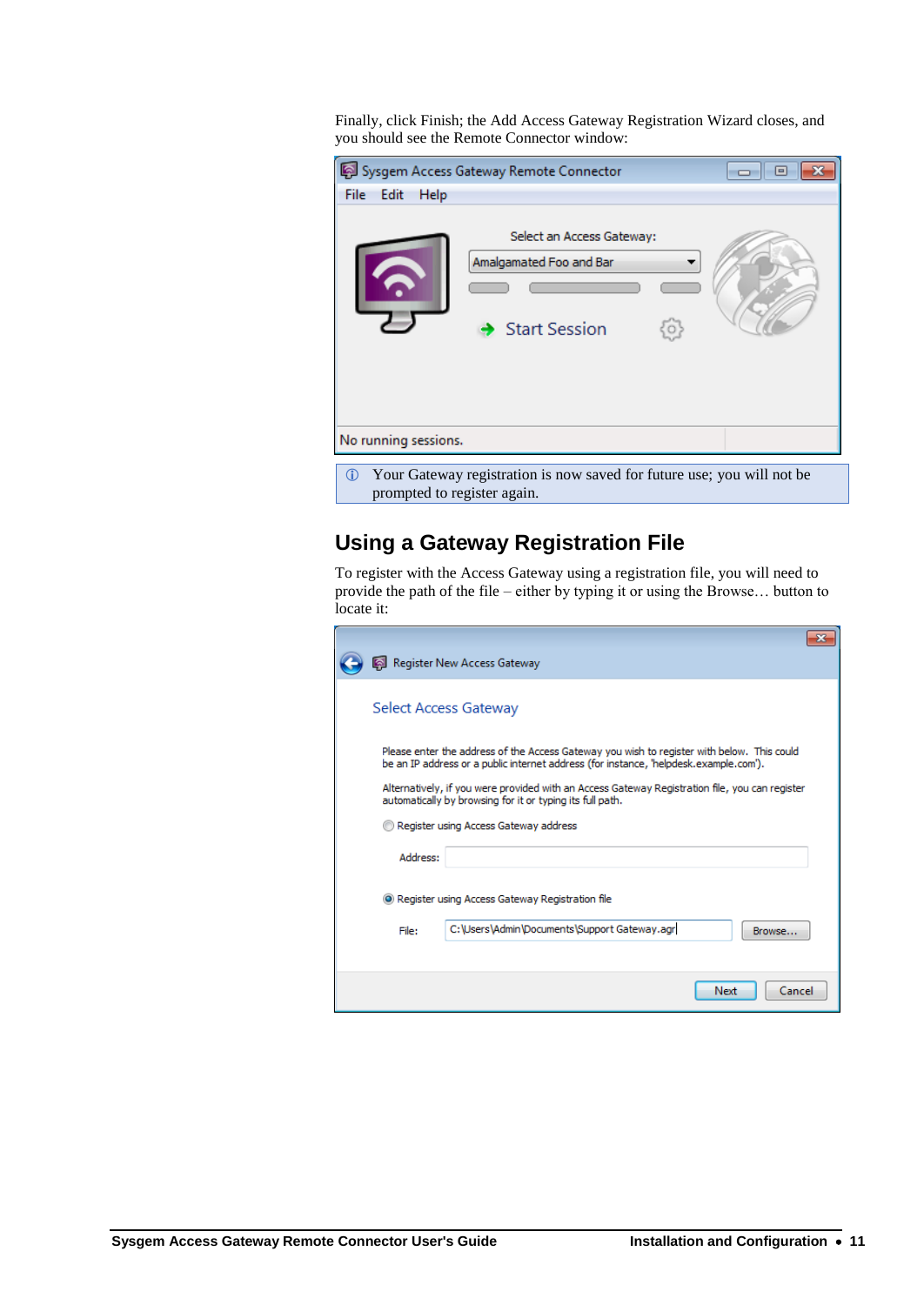Finally, click Finish; the Add Access Gateway Registration Wizard closes, and you should see the Remote Connector window:

|                      | Sysgem Access Gateway Remote Connector                                              | 回<br>- o-ll |  |
|----------------------|-------------------------------------------------------------------------------------|-------------|--|
| File<br>Edit<br>Help |                                                                                     |             |  |
|                      | Select an Access Gateway:<br>Amalgamated Foo and Bar<br>$\rightarrow$ Start Session |             |  |
| No running sessions. |                                                                                     |             |  |
| o                    | Your Gateway registration is now saved for future use: you will not be              |             |  |

way registration is now saved for future prompted to register again.

## **Using a Gateway Registration File**

To register with the Access Gateway using a registration file, you will need to provide the path of the file – either by typing it or using the Browse… button to locate it:

|                                                                                                                                                             | Register New Access Gateway                                                                                                                                                         |  |  |  |
|-------------------------------------------------------------------------------------------------------------------------------------------------------------|-------------------------------------------------------------------------------------------------------------------------------------------------------------------------------------|--|--|--|
|                                                                                                                                                             | Select Access Gateway                                                                                                                                                               |  |  |  |
|                                                                                                                                                             | Please enter the address of the Access Gateway you wish to register with below. This could<br>be an IP address or a public internet address (for instance, 'helpdesk.example.com'). |  |  |  |
| Alternatively, if you were provided with an Access Gateway Registration file, you can register<br>automatically by browsing for it or typing its full path. |                                                                                                                                                                                     |  |  |  |
| Register using Access Gateway address                                                                                                                       |                                                                                                                                                                                     |  |  |  |
| Address:                                                                                                                                                    |                                                                                                                                                                                     |  |  |  |
|                                                                                                                                                             | • Register using Access Gateway Registration file                                                                                                                                   |  |  |  |
| File:                                                                                                                                                       | C: \Users\Admin\Documents\Support Gateway.agr<br>Browse                                                                                                                             |  |  |  |
|                                                                                                                                                             |                                                                                                                                                                                     |  |  |  |
|                                                                                                                                                             | Cancel<br>Next                                                                                                                                                                      |  |  |  |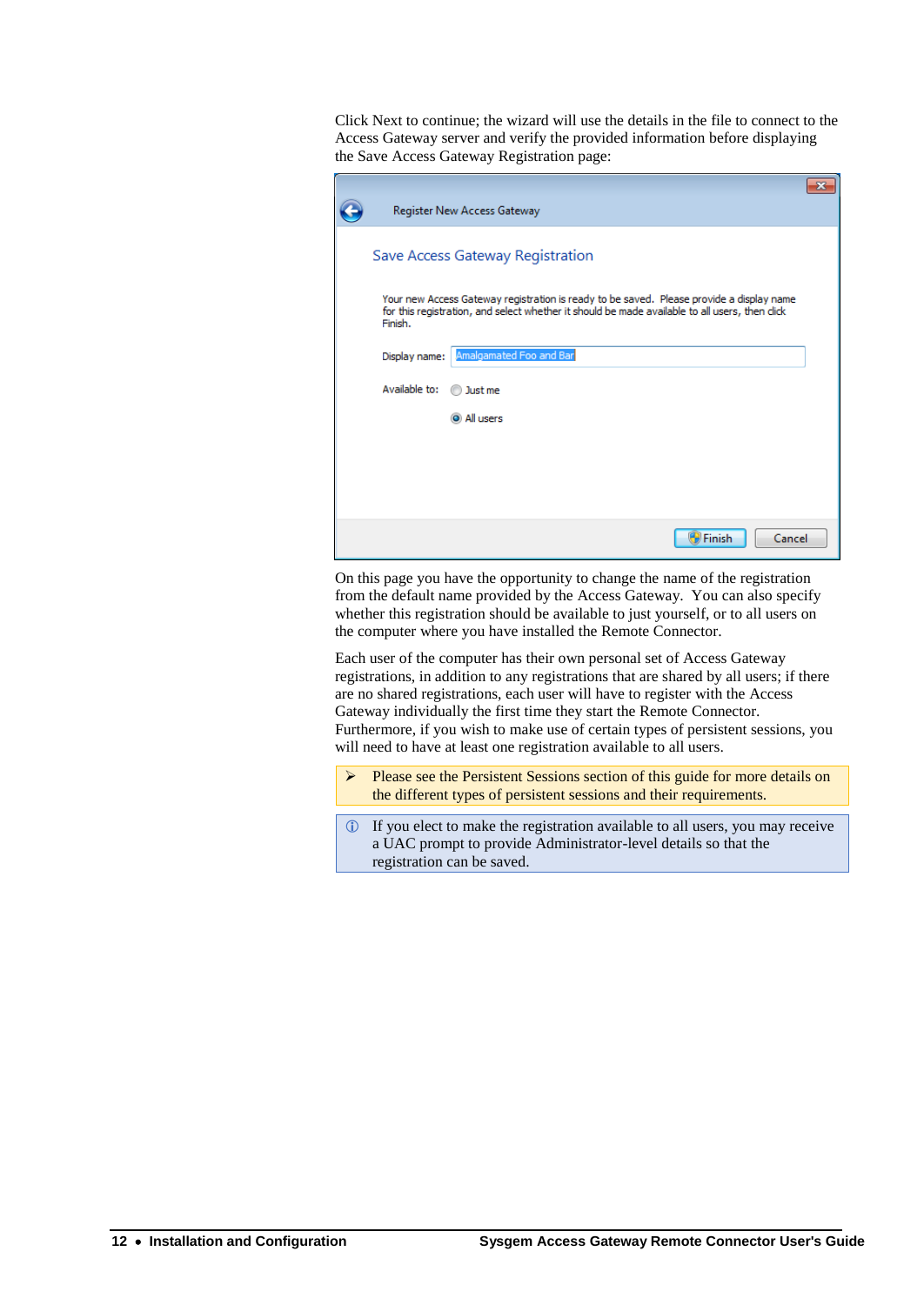Click Next to continue; the wizard will use the details in the file to connect to the Access Gateway server and verify the provided information before displaying the Save Access Gateway Registration page:

| Register New Access Gateway                                                                                                                                                                          |  |
|------------------------------------------------------------------------------------------------------------------------------------------------------------------------------------------------------|--|
| Save Access Gateway Registration                                                                                                                                                                     |  |
| Your new Access Gateway registration is ready to be saved. Please provide a display name<br>for this registration, and select whether it should be made available to all users, then dick<br>Finish. |  |
| Amalgamated Foo and Bar<br>Display name:                                                                                                                                                             |  |
| Available to:<br>Just me                                                                                                                                                                             |  |
| all users                                                                                                                                                                                            |  |
|                                                                                                                                                                                                      |  |
|                                                                                                                                                                                                      |  |
|                                                                                                                                                                                                      |  |
| Finish<br>Cancel                                                                                                                                                                                     |  |

On this page you have the opportunity to change the name of the registration from the default name provided by the Access Gateway. You can also specify whether this registration should be available to just yourself, or to all users on the computer where you have installed the Remote Connector.

Each user of the computer has their own personal set of Access Gateway registrations, in addition to any registrations that are shared by all users; if there are no shared registrations, each user will have to register with the Access Gateway individually the first time they start the Remote Connector. Furthermore, if you wish to make use of certain types of persistent sessions, you will need to have at least one registration available to all users.

- $\triangleright$  Please see the [Persistent Sessions](#page-24-0) section of this guide for more details on the different types of persistent sessions and their requirements.
- If you elect to make the registration available to all users, you may receive a UAC prompt to provide Administrator-level details so that the registration can be saved.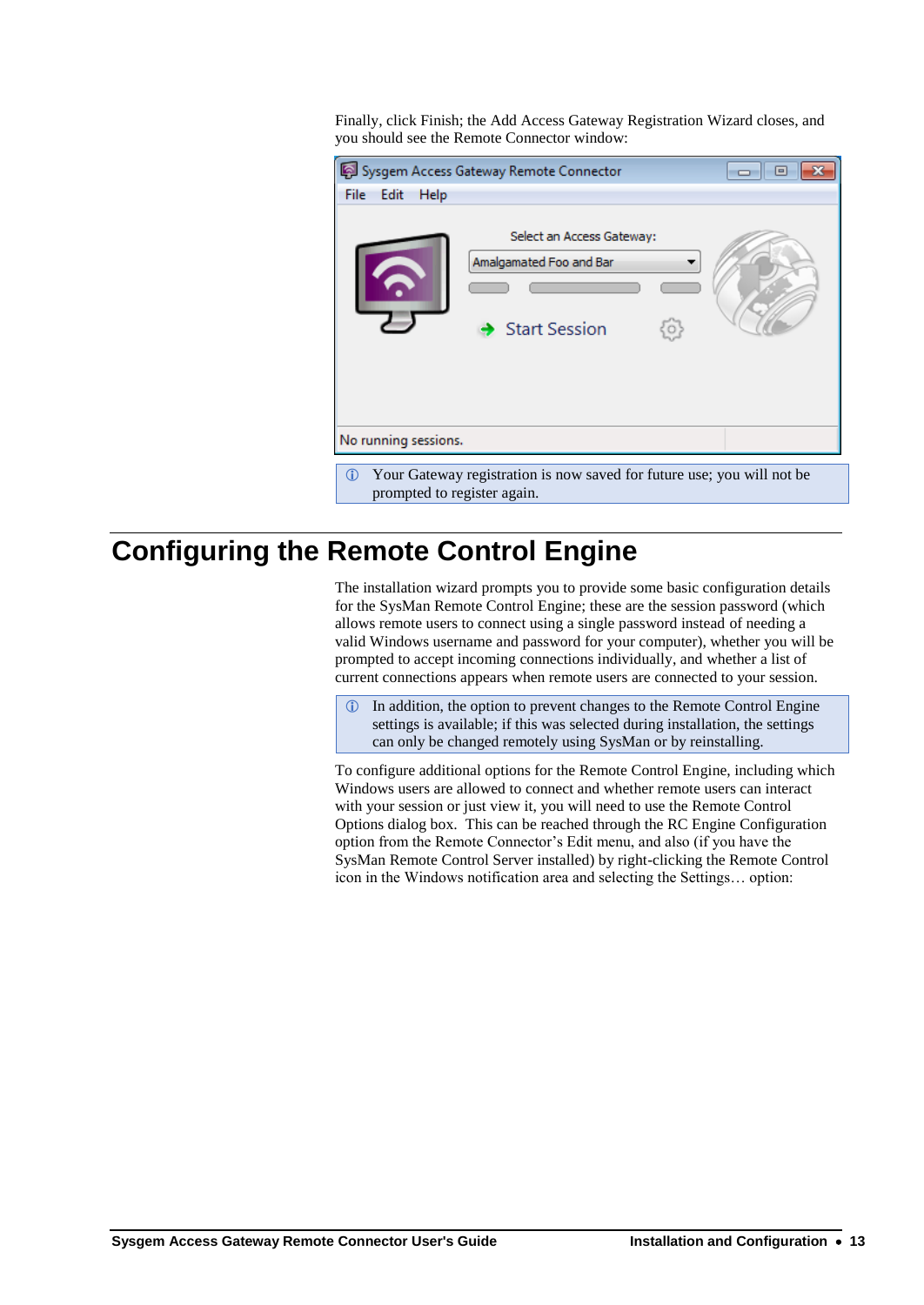Finally, click Finish; the Add Access Gateway Registration Wizard closes, and you should see the Remote Connector window:

|                                                                                                                       | Sysgem Access Gateway Remote Connector                                       | 回<br>- - 1- |  |  |  |  |
|-----------------------------------------------------------------------------------------------------------------------|------------------------------------------------------------------------------|-------------|--|--|--|--|
| File Edit<br>Help                                                                                                     |                                                                              |             |  |  |  |  |
|                                                                                                                       | Select an Access Gateway:<br>Amalgamated Foo and Bar<br><b>Start Session</b> |             |  |  |  |  |
| No running sessions.                                                                                                  |                                                                              |             |  |  |  |  |
| Your Gateway registration is now saved for future use; you will not be<br>$\mathbf{0}$<br>prompted to register again. |                                                                              |             |  |  |  |  |

# <span id="page-16-0"></span>**Configuring the Remote Control Engine**

The installation wizard prompts you to provide some basic configuration details for the SysMan Remote Control Engine; these are the session password (which allows remote users to connect using a single password instead of needing a valid Windows username and password for your computer), whether you will be prompted to accept incoming connections individually, and whether a list of current connections appears when remote users are connected to your session.

 In addition, the option to prevent changes to the Remote Control Engine settings is available; if this was selected during installation, the settings can only be changed remotely using SysMan or by reinstalling.

To configure additional options for the Remote Control Engine, including which Windows users are allowed to connect and whether remote users can interact with your session or just view it, you will need to use the Remote Control Options dialog box. This can be reached through the RC Engine Configuration option from the Remote Connector's Edit menu, and also (if you have the SysMan Remote Control Server installed) by right-clicking the Remote Control icon in the Windows notification area and selecting the Settings… option: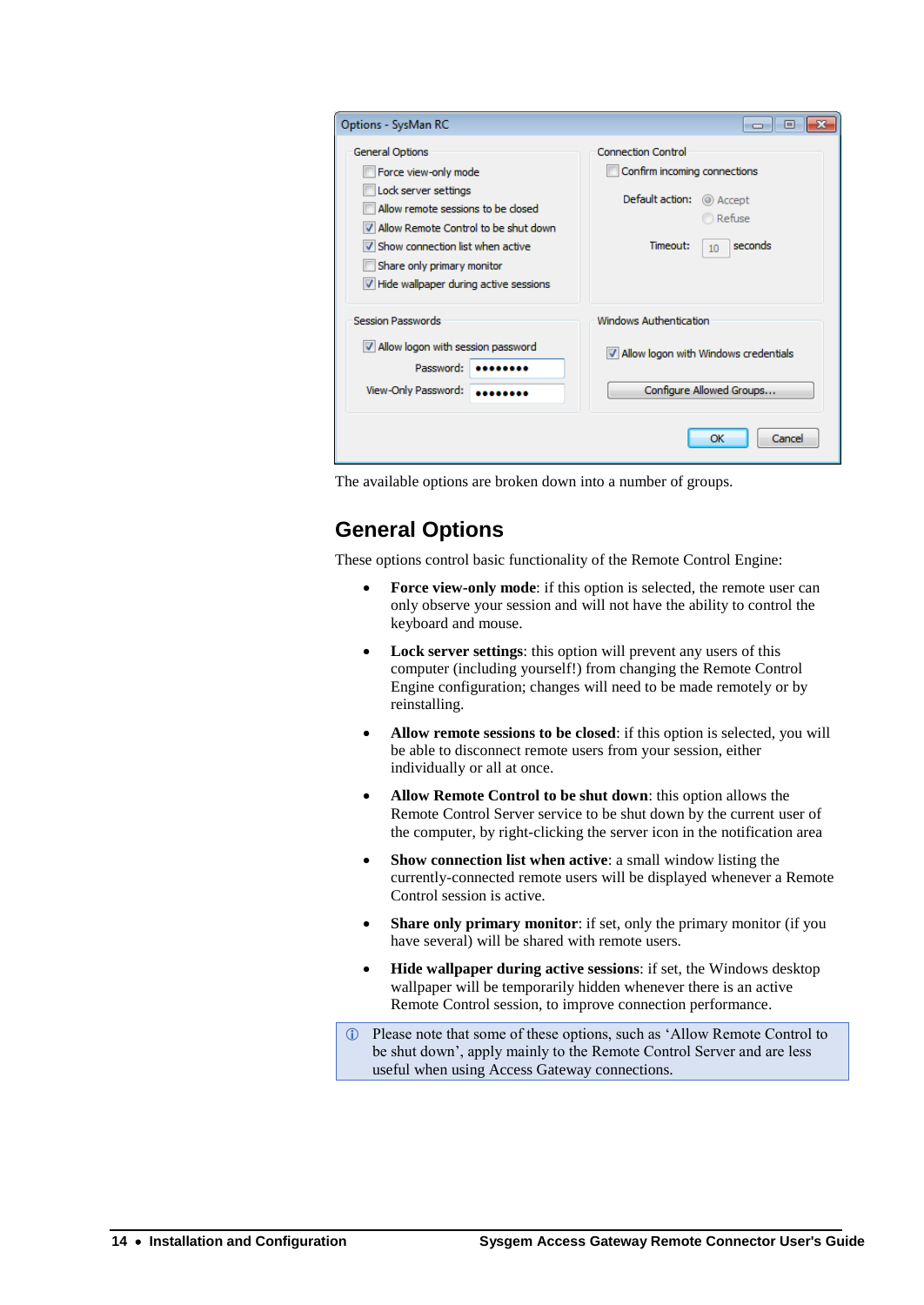| Options - SysMan RC                                                                                                                                                                                                                                          | <u>- 19</u>                                                                                                                                   |
|--------------------------------------------------------------------------------------------------------------------------------------------------------------------------------------------------------------------------------------------------------------|-----------------------------------------------------------------------------------------------------------------------------------------------|
| General Options<br>Force view-only mode<br>Lock server settings<br>Allow remote sessions to be closed<br>V Allow Remote Control to be shut down<br>V Show connection list when active<br>Share only primary monitor<br>Hide wallpaper during active sessions | <b>Connection Control</b><br>Confirm incoming connections<br>Default action:<br>© Accept<br>Refuse<br>seconds<br>Timeout:<br>10 <sup>10</sup> |
| <b>Session Passwords</b>                                                                                                                                                                                                                                     | <b>Windows Authentication</b>                                                                                                                 |
| Allow logon with session password<br>Password:                                                                                                                                                                                                               | Allow logon with Windows credentials                                                                                                          |
| View-Only Password:                                                                                                                                                                                                                                          | Configure Allowed Groups                                                                                                                      |
|                                                                                                                                                                                                                                                              | Cancel<br>OK                                                                                                                                  |

The available options are broken down into a number of groups.

## **General Options**

These options control basic functionality of the Remote Control Engine:

- **Force view-only mode**: if this option is selected, the remote user can only observe your session and will not have the ability to control the keyboard and mouse.
- **Lock server settings**: this option will prevent any users of this computer (including yourself!) from changing the Remote Control Engine configuration; changes will need to be made remotely or by reinstalling.
- **Allow remote sessions to be closed**: if this option is selected, you will be able to disconnect remote users from your session, either individually or all at once.
- **Allow Remote Control to be shut down**: this option allows the Remote Control Server service to be shut down by the current user of the computer, by right-clicking the server icon in the notification area
- **Show connection list when active**: a small window listing the currently-connected remote users will be displayed whenever a Remote Control session is active.
- **Share only primary monitor**: if set, only the primary monitor (if you have several) will be shared with remote users.
- **Hide wallpaper during active sessions**: if set, the Windows desktop wallpaper will be temporarily hidden whenever there is an active Remote Control session, to improve connection performance.
- Please note that some of these options, such as 'Allow Remote Control to be shut down', apply mainly to the Remote Control Server and are less useful when using Access Gateway connections.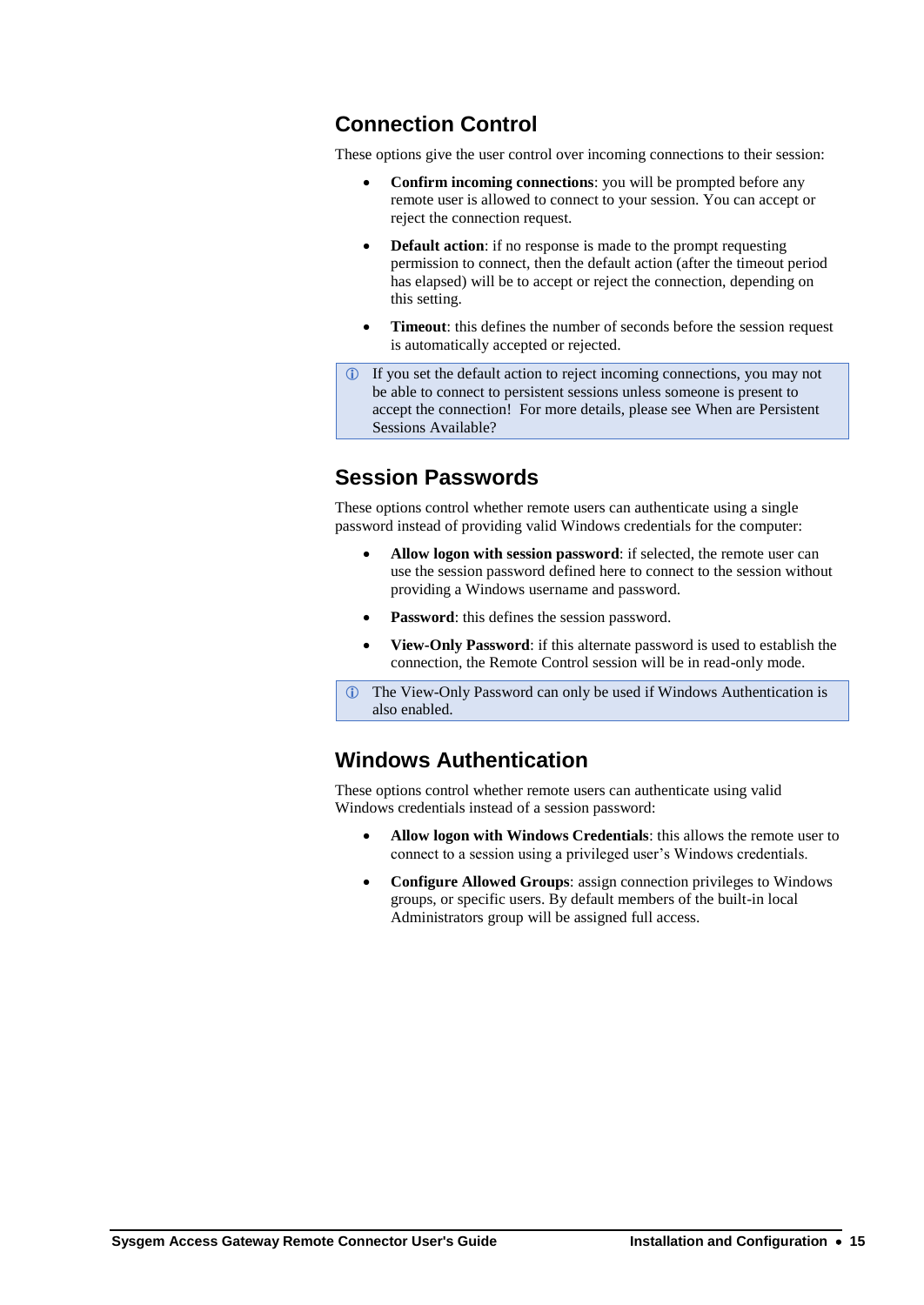## **Connection Control**

These options give the user control over incoming connections to their session:

- **Confirm incoming connections**: you will be prompted before any remote user is allowed to connect to your session. You can accept or reject the connection request.
- **Default action:** if no response is made to the prompt requesting permission to connect, then the default action (after the timeout period has elapsed) will be to accept or reject the connection, depending on this setting.
- **Timeout**: this defines the number of seconds before the session request is automatically accepted or rejected.
- If you set the default action to reject incoming connections, you may not be able to connect to persistent sessions unless someone is present to accept the connection! For more details, please see [When are Persistent](#page-25-0)  [Sessions Available?](#page-25-0)

## **Session Passwords**

These options control whether remote users can authenticate using a single password instead of providing valid Windows credentials for the computer:

- **Allow logon with session password**: if selected, the remote user can use the session password defined here to connect to the session without providing a Windows username and password.
- **Password**: this defines the session password.
- **View-Only Password**: if this alternate password is used to establish the connection, the Remote Control session will be in read-only mode.
- The View-Only Password can only be used if Windows Authentication is also enabled.

### **Windows Authentication**

These options control whether remote users can authenticate using valid Windows credentials instead of a session password:

- **Allow logon with Windows Credentials**: this allows the remote user to connect to a session using a privileged user's Windows credentials.
- **Configure Allowed Groups**: assign connection privileges to Windows groups, or specific users. By default members of the built-in local Administrators group will be assigned full access.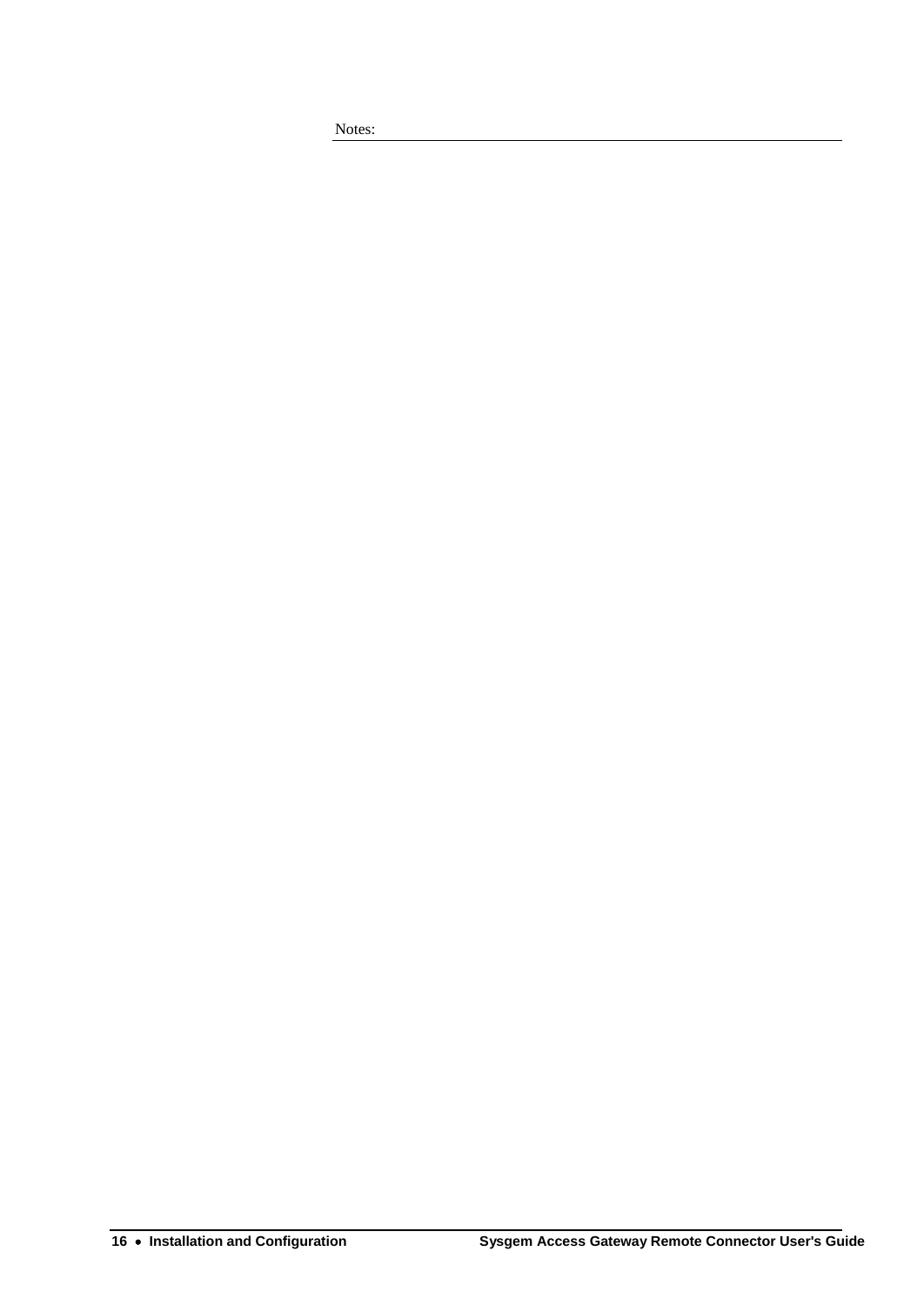Notes: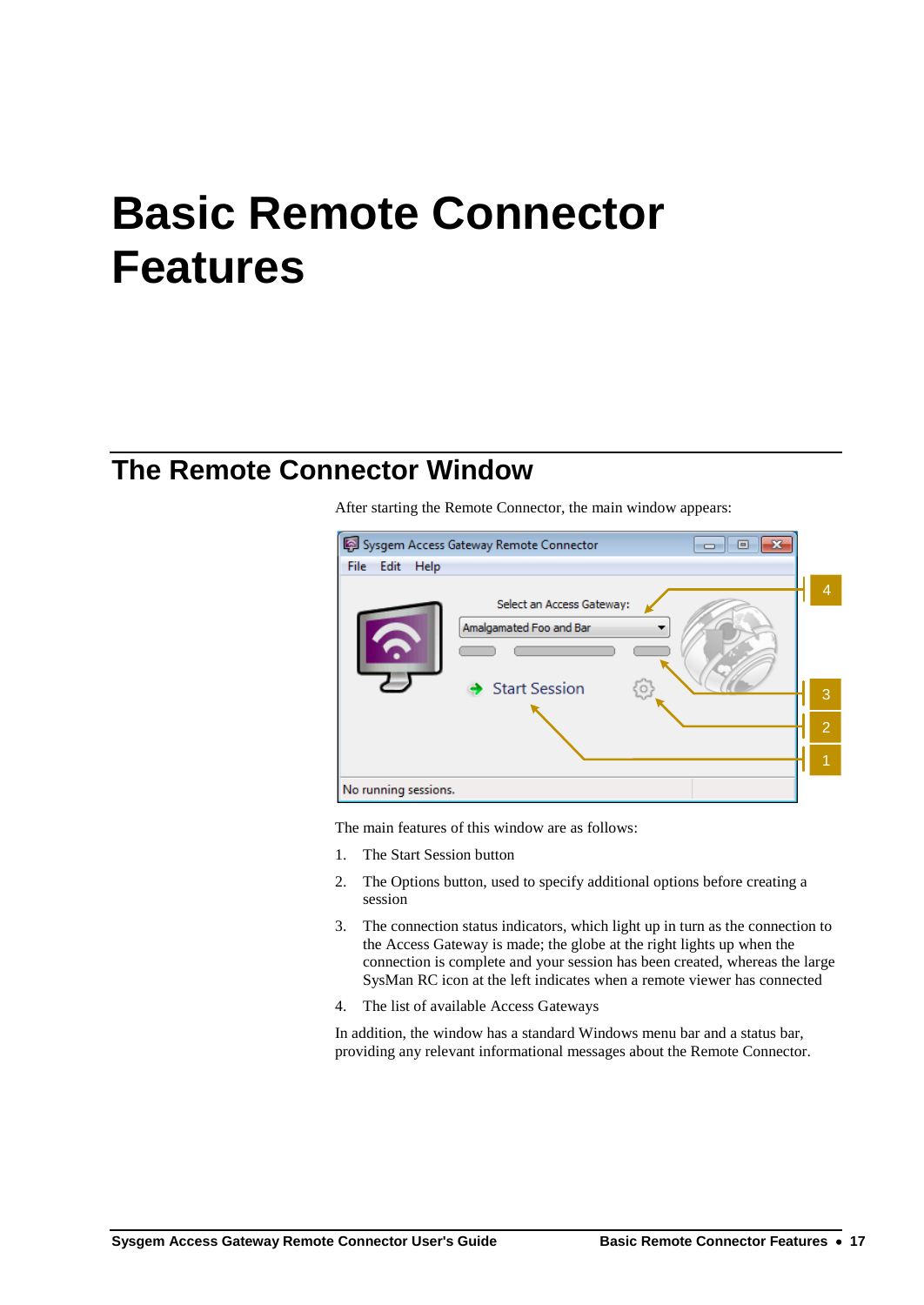# <span id="page-20-0"></span>**Basic Remote Connector Features**

## **The Remote Connector Window**

After starting the Remote Connector, the main window appears:



The main features of this window are as follows:

- 1. The Start Session button
- 2. The Options button, used to specify additional options before creating a session
- 3. The connection status indicators, which light up in turn as the connection to the Access Gateway is made; the globe at the right lights up when the connection is complete and your session has been created, whereas the large SysMan RC icon at the left indicates when a remote viewer has connected
- 4. The list of available Access Gateways

In addition, the window has a standard Windows menu bar and a status bar, providing any relevant informational messages about the Remote Connector.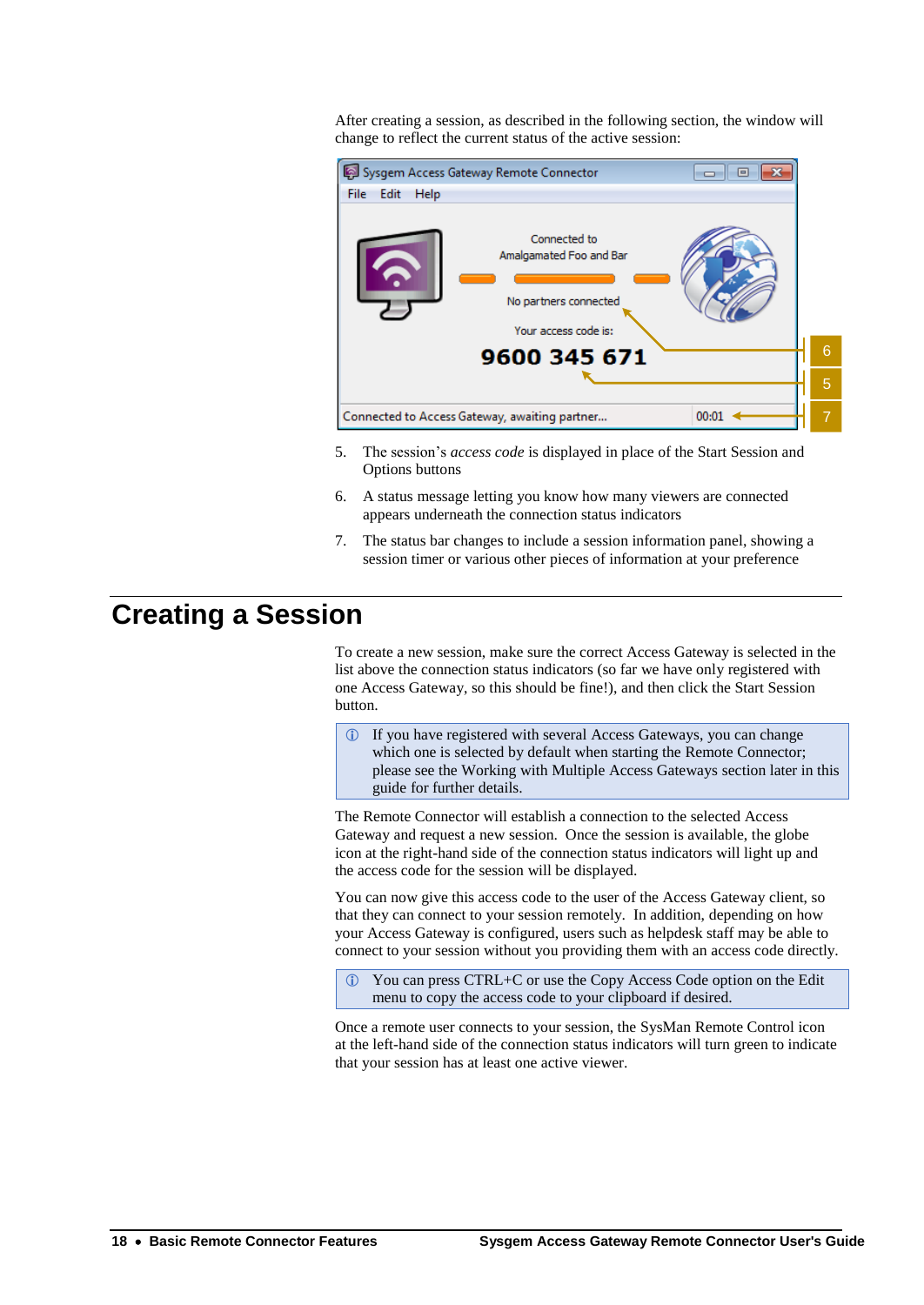After creating a session, as described in the following section, the window will change to reflect the current status of the active session:



- 5. The session's *access code* is displayed in place of the Start Session and Options buttons
- 6. A status message letting you know how many viewers are connected appears underneath the connection status indicators
- 7. The status bar changes to include a session information panel, showing a session timer or various other pieces of information at your preference

# **Creating a Session**

To create a new session, make sure the correct Access Gateway is selected in the list above the connection status indicators (so far we have only registered with one Access Gateway, so this should be fine!), and then click the Start Session button.

 If you have registered with several Access Gateways, you can change which one is selected by default when starting the Remote Connector; please see the [Working with Multiple Access Gateways](#page-32-0) section later in this guide for further details.

The Remote Connector will establish a connection to the selected Access Gateway and request a new session. Once the session is available, the globe icon at the right-hand side of the connection status indicators will light up and the access code for the session will be displayed.

You can now give this access code to the user of the Access Gateway client, so that they can connect to your session remotely. In addition, depending on how your Access Gateway is configured, users such as helpdesk staff may be able to connect to your session without you providing them with an access code directly.

 You can press CTRL+C or use the Copy Access Code option on the Edit menu to copy the access code to your clipboard if desired.

Once a remote user connects to your session, the SysMan Remote Control icon at the left-hand side of the connection status indicators will turn green to indicate that your session has at least one active viewer.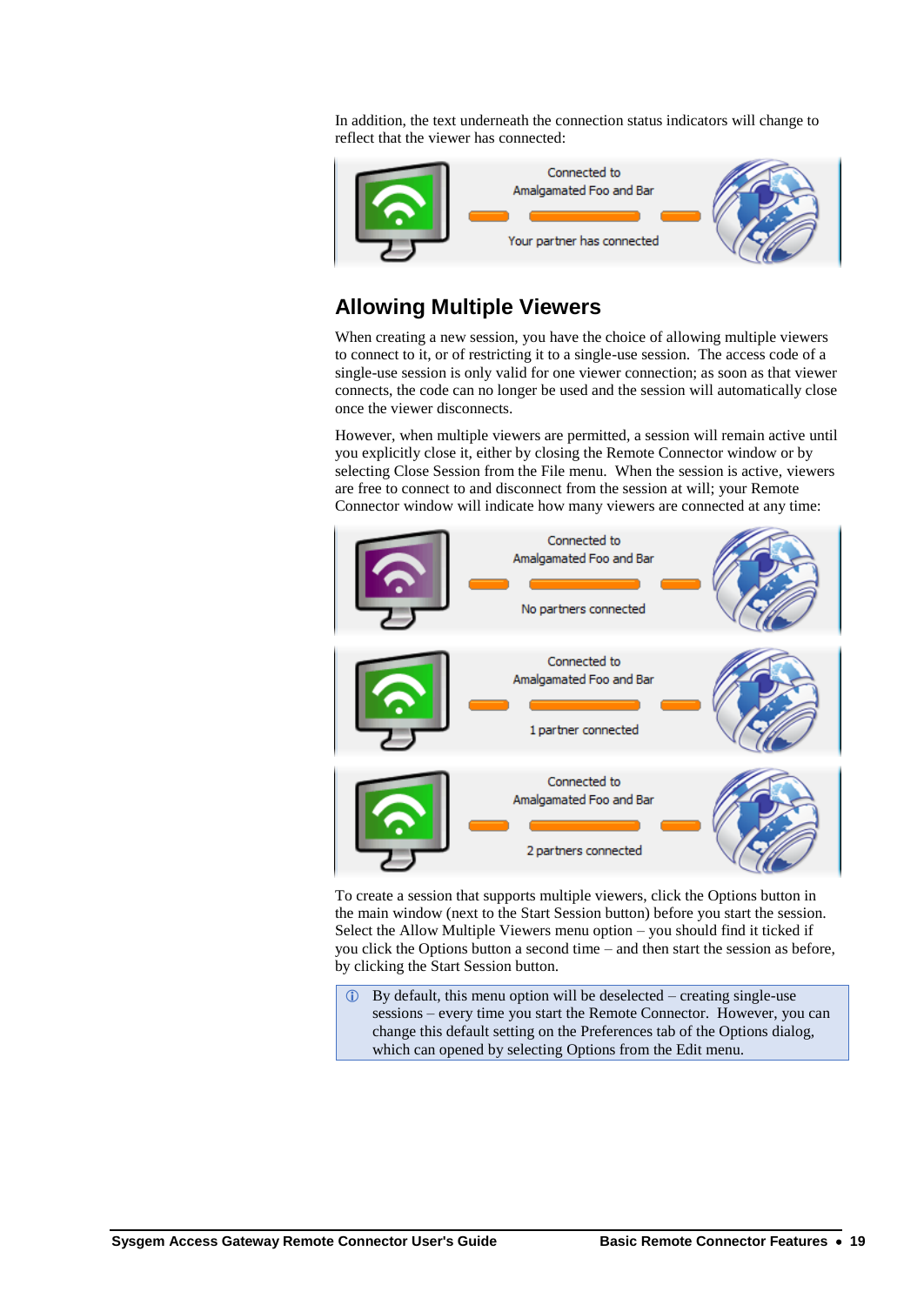In addition, the text underneath the connection status indicators will change to reflect that the viewer has connected:



### **Allowing Multiple Viewers**

When creating a new session, you have the choice of allowing multiple viewers to connect to it, or of restricting it to a single-use session. The access code of a single-use session is only valid for one viewer connection; as soon as that viewer connects, the code can no longer be used and the session will automatically close once the viewer disconnects.

However, when multiple viewers are permitted, a session will remain active until you explicitly close it, either by closing the Remote Connector window or by selecting Close Session from the File menu. When the session is active, viewers are free to connect to and disconnect from the session at will; your Remote Connector window will indicate how many viewers are connected at any time:



To create a session that supports multiple viewers, click the Options button in the main window (next to the Start Session button) before you start the session. Select the Allow Multiple Viewers menu option – you should find it ticked if you click the Options button a second time – and then start the session as before, by clicking the Start Session button.

 By default, this menu option will be deselected – creating single-use sessions – every time you start the Remote Connector. However, you can change this default setting on the Preferences tab of the Options dialog, which can opened by selecting Options from the Edit menu.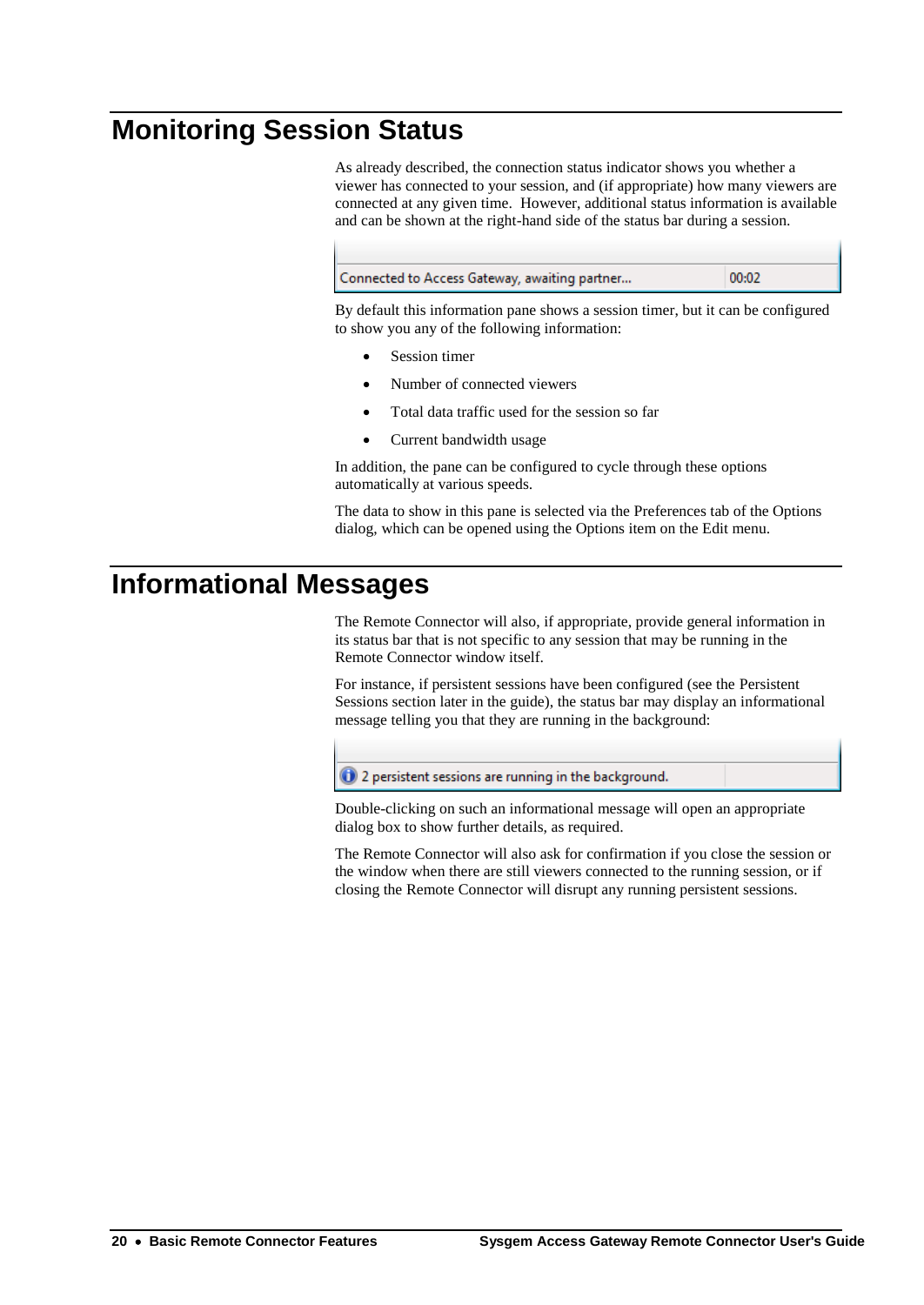# **Monitoring Session Status**

As already described, the connection status indicator shows you whether a viewer has connected to your session, and (if appropriate) how many viewers are connected at any given time. However, additional status information is available and can be shown at the right-hand side of the status bar during a session.



By default this information pane shows a session timer, but it can be configured to show you any of the following information:

- Session timer
- Number of connected viewers
- Total data traffic used for the session so far
- Current bandwidth usage

In addition, the pane can be configured to cycle through these options automatically at various speeds.

The data to show in this pane is selected via the Preferences tab of the Options dialog, which can be opened using the Options item on the Edit menu.

# **Informational Messages**

The Remote Connector will also, if appropriate, provide general information in its status bar that is not specific to any session that may be running in the Remote Connector window itself.

For instance, if persistent sessions have been configured (see the [Persistent](#page-24-0)  [Sessions](#page-24-0) section later in the guide), the status bar may display an informational message telling you that they are running in the background:

 $\bigcirc$  2 persistent sessions are running in the background.

Double-clicking on such an informational message will open an appropriate dialog box to show further details, as required.

The Remote Connector will also ask for confirmation if you close the session or the window when there are still viewers connected to the running session, or if closing the Remote Connector will disrupt any running persistent sessions.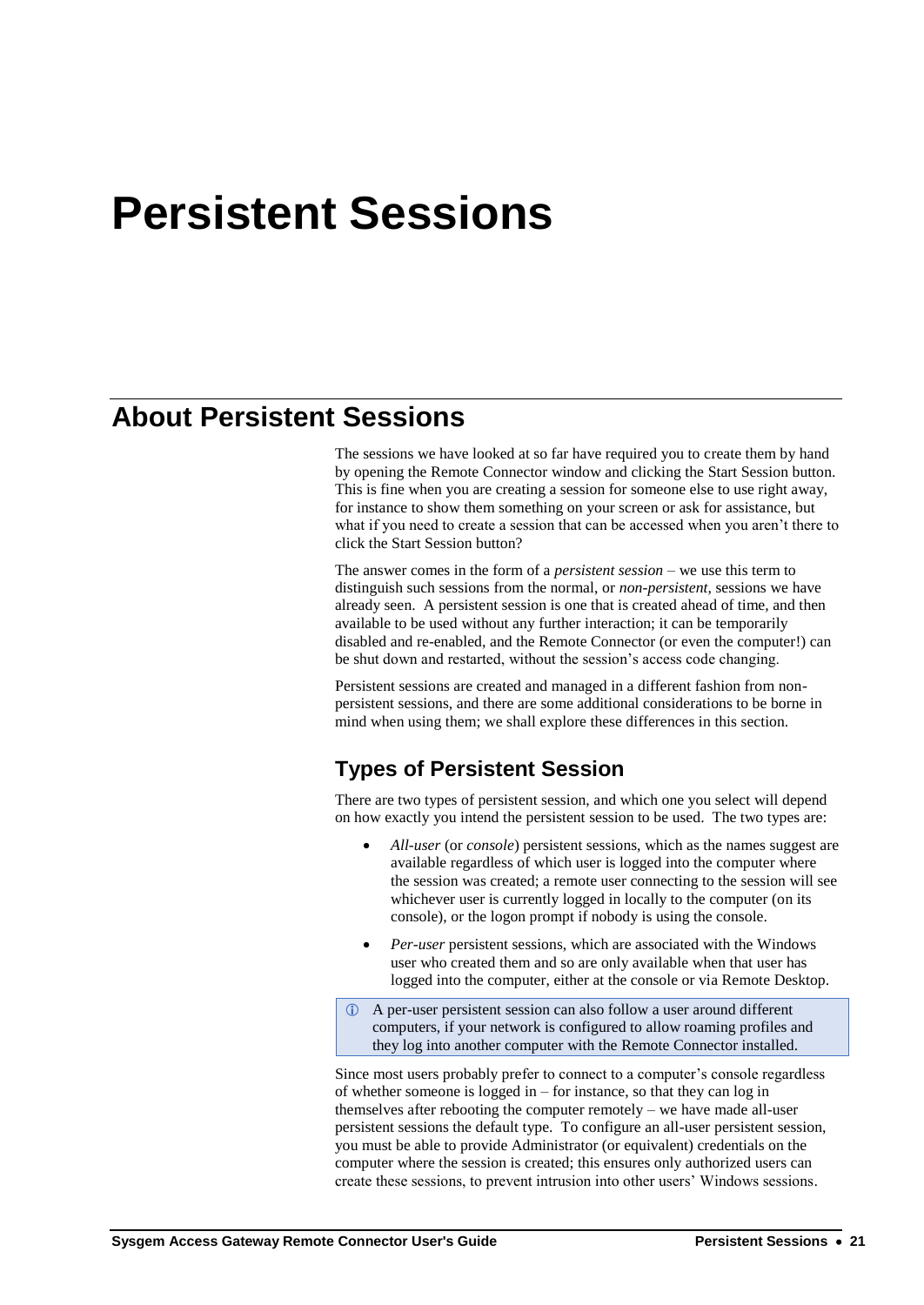# <span id="page-24-0"></span>**Persistent Sessions**

## **About Persistent Sessions**

The sessions we have looked at so far have required you to create them by hand by opening the Remote Connector window and clicking the Start Session button. This is fine when you are creating a session for someone else to use right away, for instance to show them something on your screen or ask for assistance, but what if you need to create a session that can be accessed when you aren't there to click the Start Session button?

The answer comes in the form of a *persistent session* – we use this term to distinguish such sessions from the normal, or *non-persistent*, sessions we have already seen. A persistent session is one that is created ahead of time, and then available to be used without any further interaction; it can be temporarily disabled and re-enabled, and the Remote Connector (or even the computer!) can be shut down and restarted, without the session's access code changing.

Persistent sessions are created and managed in a different fashion from nonpersistent sessions, and there are some additional considerations to be borne in mind when using them; we shall explore these differences in this section.

### <span id="page-24-1"></span>**Types of Persistent Session**

There are two types of persistent session, and which one you select will depend on how exactly you intend the persistent session to be used. The two types are:

- *All-user* (or *console*) persistent sessions, which as the names suggest are available regardless of which user is logged into the computer where the session was created; a remote user connecting to the session will see whichever user is currently logged in locally to the computer (on its console), or the logon prompt if nobody is using the console.
- *Per-user* persistent sessions, which are associated with the Windows user who created them and so are only available when that user has logged into the computer, either at the console or via Remote Desktop.
- A per-user persistent session can also follow a user around different computers, if your network is configured to allow roaming profiles and they log into another computer with the Remote Connector installed.

Since most users probably prefer to connect to a computer's console regardless of whether someone is logged in – for instance, so that they can log in themselves after rebooting the computer remotely – we have made all-user persistent sessions the default type. To configure an all-user persistent session, you must be able to provide Administrator (or equivalent) credentials on the computer where the session is created; this ensures only authorized users can create these sessions, to prevent intrusion into other users' Windows sessions.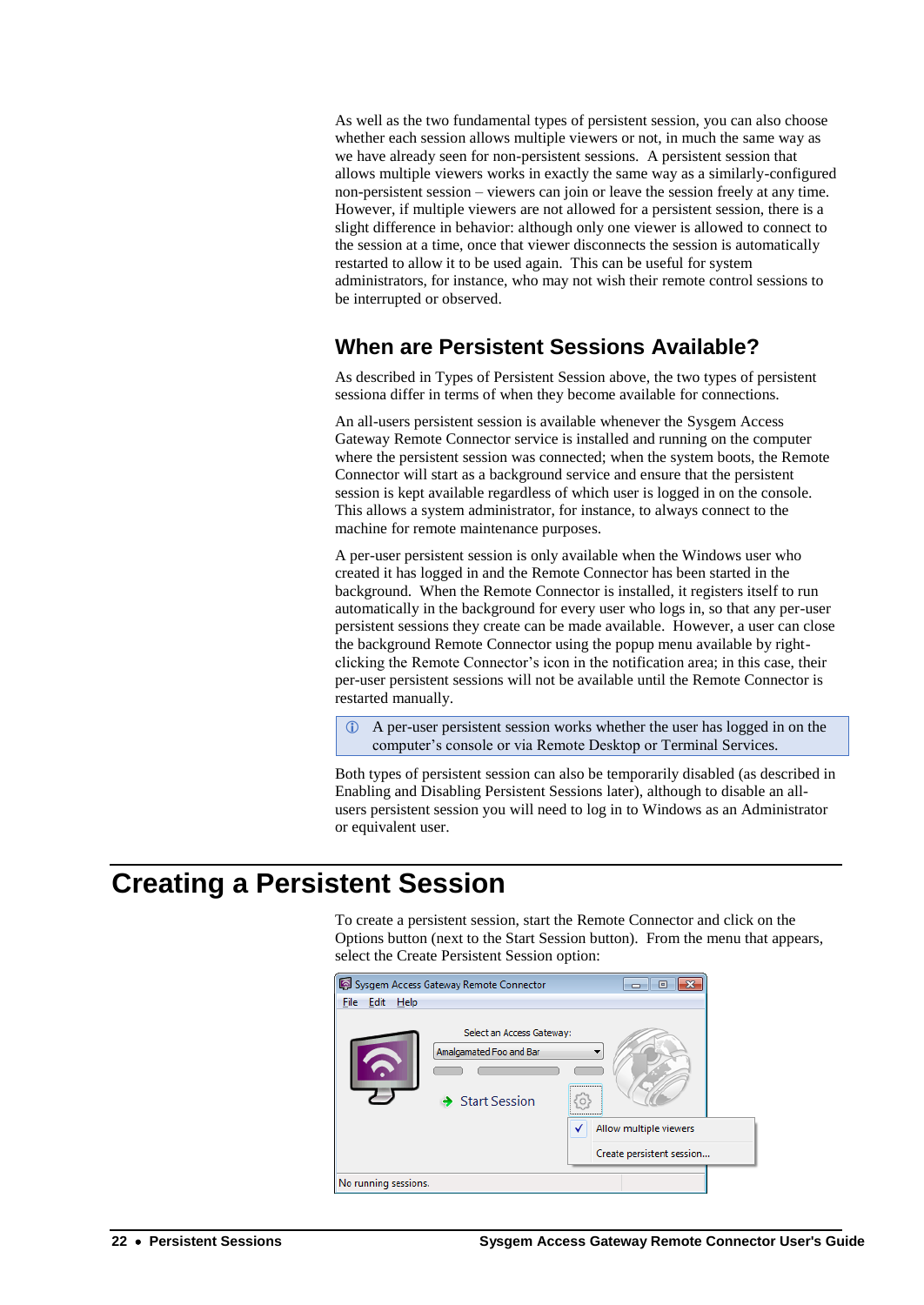As well as the two fundamental types of persistent session, you can also choose whether each session allows multiple viewers or not, in much the same way as we have already seen for non-persistent sessions. A persistent session that allows multiple viewers works in exactly the same way as a similarly-configured non-persistent session – viewers can join or leave the session freely at any time. However, if multiple viewers are not allowed for a persistent session, there is a slight difference in behavior: although only one viewer is allowed to connect to the session at a time, once that viewer disconnects the session is automatically restarted to allow it to be used again. This can be useful for system administrators, for instance, who may not wish their remote control sessions to be interrupted or observed.

## <span id="page-25-0"></span>**When are Persistent Sessions Available?**

As described i[n Types of Persistent Session](#page-24-1) above, the two types of persistent sessiona differ in terms of when they become available for connections.

An all-users persistent session is available whenever the Sysgem Access Gateway Remote Connector service is installed and running on the computer where the persistent session was connected; when the system boots, the Remote Connector will start as a background service and ensure that the persistent session is kept available regardless of which user is logged in on the console. This allows a system administrator, for instance, to always connect to the machine for remote maintenance purposes.

A per-user persistent session is only available when the Windows user who created it has logged in and the Remote Connector has been started in the background. When the Remote Connector is installed, it registers itself to run automatically in the background for every user who logs in, so that any per-user persistent sessions they create can be made available. However, a user can close the background Remote Connector using the popup menu available by rightclicking the Remote Connector's icon in the notification area; in this case, their per-user persistent sessions will not be available until the Remote Connector is restarted manually.

 A per-user persistent session works whether the user has logged in on the computer's console or via Remote Desktop or Terminal Services.

Both types of persistent session can also be temporarily disabled (as described in [Enabling and Disabling Persistent Sessions](#page-29-0) later), although to disable an allusers persistent session you will need to log in to Windows as an Administrator or equivalent user.

# **Creating a Persistent Session**

To create a persistent session, start the Remote Connector and click on the Options button (next to the Start Session button). From the menu that appears, select the Create Persistent Session option:

|                          | Sysgem Access Gateway Remote Connector                                              | ▣<br>$\Box$               |
|--------------------------|-------------------------------------------------------------------------------------|---------------------------|
| File Edit<br><b>Help</b> |                                                                                     |                           |
|                          | Select an Access Gateway:<br>Amalgamated Foo and Bar<br>$\rightarrow$ Start Session | <br>O<br>.                |
|                          |                                                                                     | Allow multiple viewers    |
|                          |                                                                                     | Create persistent session |
| No running sessions.     |                                                                                     |                           |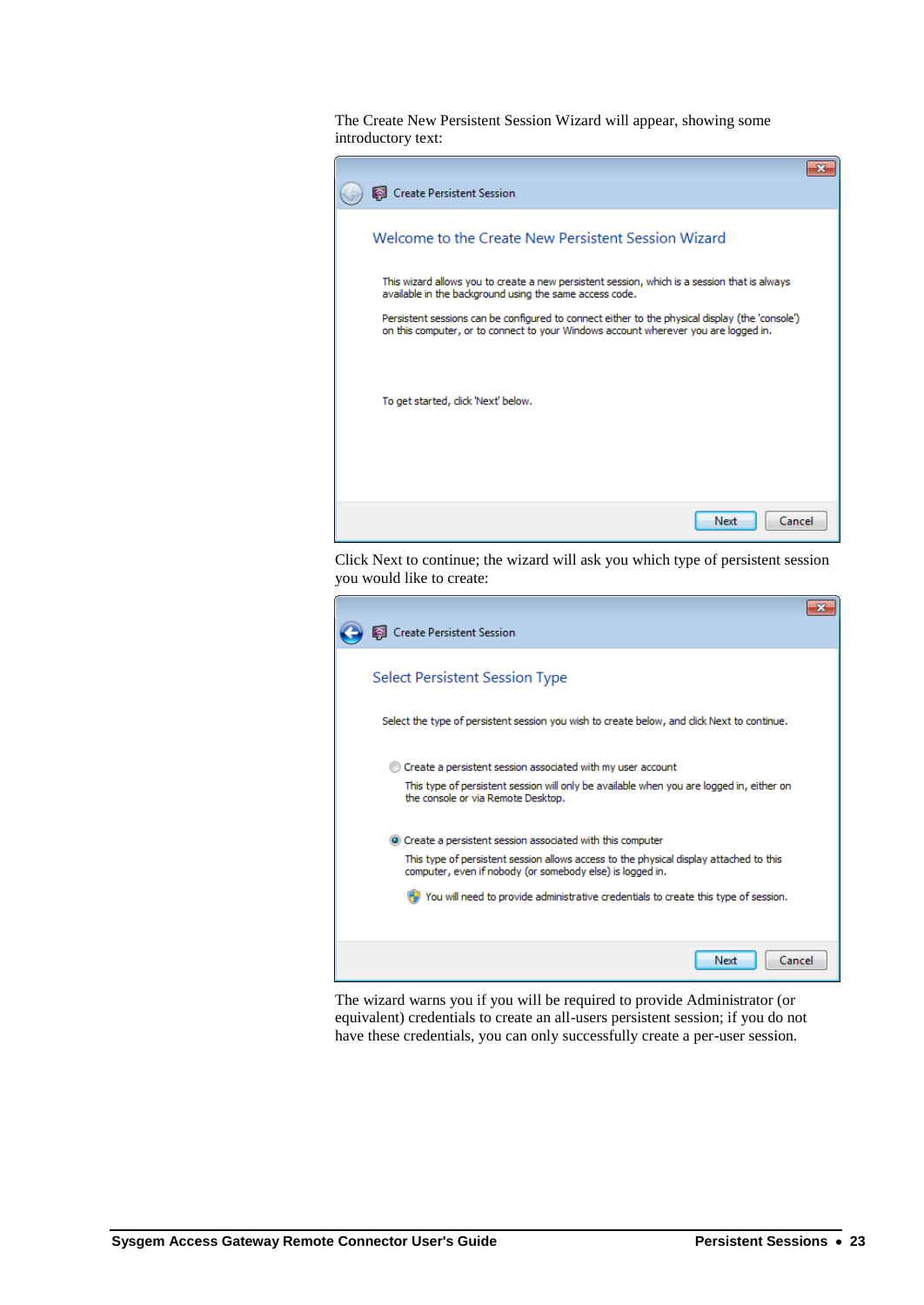The Create New Persistent Session Wizard will appear, showing some introductory text:



Click Next to continue; the wizard will ask you which type of persistent session you would like to create:

| <b>Create Persistent Session</b>                                                                                                                                                                                                                                                                          |  |
|-----------------------------------------------------------------------------------------------------------------------------------------------------------------------------------------------------------------------------------------------------------------------------------------------------------|--|
| Select Persistent Session Type                                                                                                                                                                                                                                                                            |  |
| Select the type of persistent session you wish to create below, and click Next to continue.                                                                                                                                                                                                               |  |
| Create a persistent session associated with my user account<br>This type of persistent session will only be available when you are logged in, either on<br>the console or via Remote Desktop.                                                                                                             |  |
| • Create a persistent session associated with this computer<br>This type of persistent session allows access to the physical display attached to this<br>computer, even if nobody (or somebody else) is logged in.<br>You will need to provide administrative credentials to create this type of session. |  |
| Next<br>Cancel                                                                                                                                                                                                                                                                                            |  |

The wizard warns you if you will be required to provide Administrator (or equivalent) credentials to create an all-users persistent session; if you do not have these credentials, you can only successfully create a per-user session.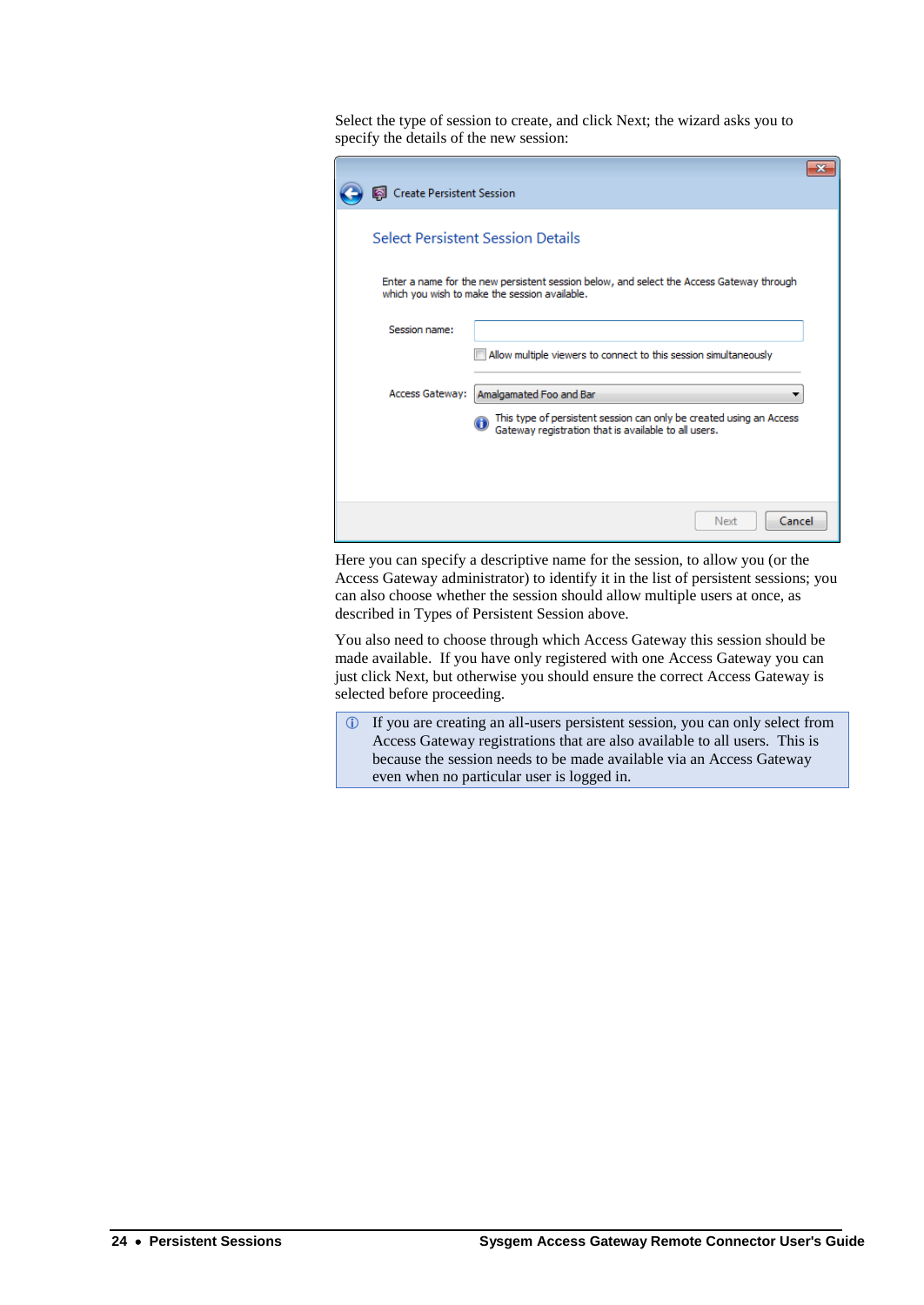Select the type of session to create, and click Next; the wizard asks you to specify the details of the new session:

| <b>Create Persistent Session</b><br><b>Select Persistent Session Details</b>                                                              |
|-------------------------------------------------------------------------------------------------------------------------------------------|
|                                                                                                                                           |
|                                                                                                                                           |
| Enter a name for the new persistent session below, and select the Access Gateway through<br>which you wish to make the session available. |
| Session name:                                                                                                                             |
| Allow multiple viewers to connect to this session simultaneously                                                                          |
| <b>Access Gateway:</b><br>Amalgamated Foo and Bar                                                                                         |
| This type of persistent session can only be created using an Access<br>Gateway registration that is available to all users.               |
| Next<br>Cancel                                                                                                                            |

Here you can specify a descriptive name for the session, to allow you (or the Access Gateway administrator) to identify it in the list of persistent sessions; you can also choose whether the session should allow multiple users at once, as described in [Types of Persistent Session](#page-24-1) above.

You also need to choose through which Access Gateway this session should be made available. If you have only registered with one Access Gateway you can just click Next, but otherwise you should ensure the correct Access Gateway is selected before proceeding.

 If you are creating an all-users persistent session, you can only select from Access Gateway registrations that are also available to all users. This is because the session needs to be made available via an Access Gateway even when no particular user is logged in.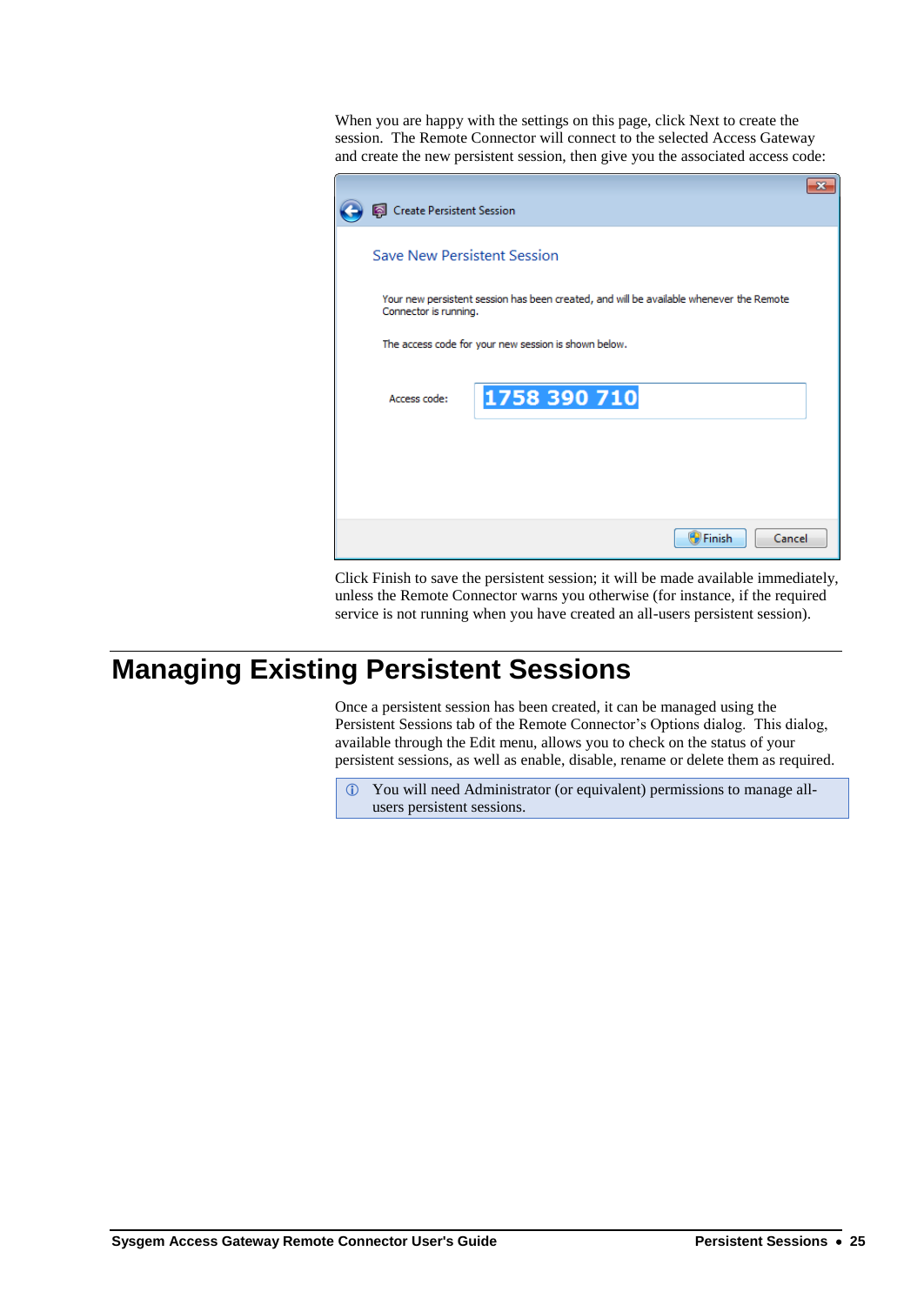When you are happy with the settings on this page, click Next to create the session. The Remote Connector will connect to the selected Access Gateway and create the new persistent session, then give you the associated access code:

| <b>Create Persistent Session</b> |                                                                                         |  |
|----------------------------------|-----------------------------------------------------------------------------------------|--|
| Save New Persistent Session      |                                                                                         |  |
| Connector is running.            | Your new persistent session has been created, and will be available whenever the Remote |  |
|                                  | The access code for your new session is shown below.                                    |  |
| Access code:                     | 1758 390 710                                                                            |  |
|                                  |                                                                                         |  |
|                                  |                                                                                         |  |
|                                  | <b>D</b> Finish<br>Cancel                                                               |  |

Click Finish to save the persistent session; it will be made available immediately, unless the Remote Connector warns you otherwise (for instance, if the required service is not running when you have created an all-users persistent session).

# **Managing Existing Persistent Sessions**

Once a persistent session has been created, it can be managed using the Persistent Sessions tab of the Remote Connector's Options dialog. This dialog, available through the Edit menu, allows you to check on the status of your persistent sessions, as well as enable, disable, rename or delete them as required.

 You will need Administrator (or equivalent) permissions to manage allusers persistent sessions.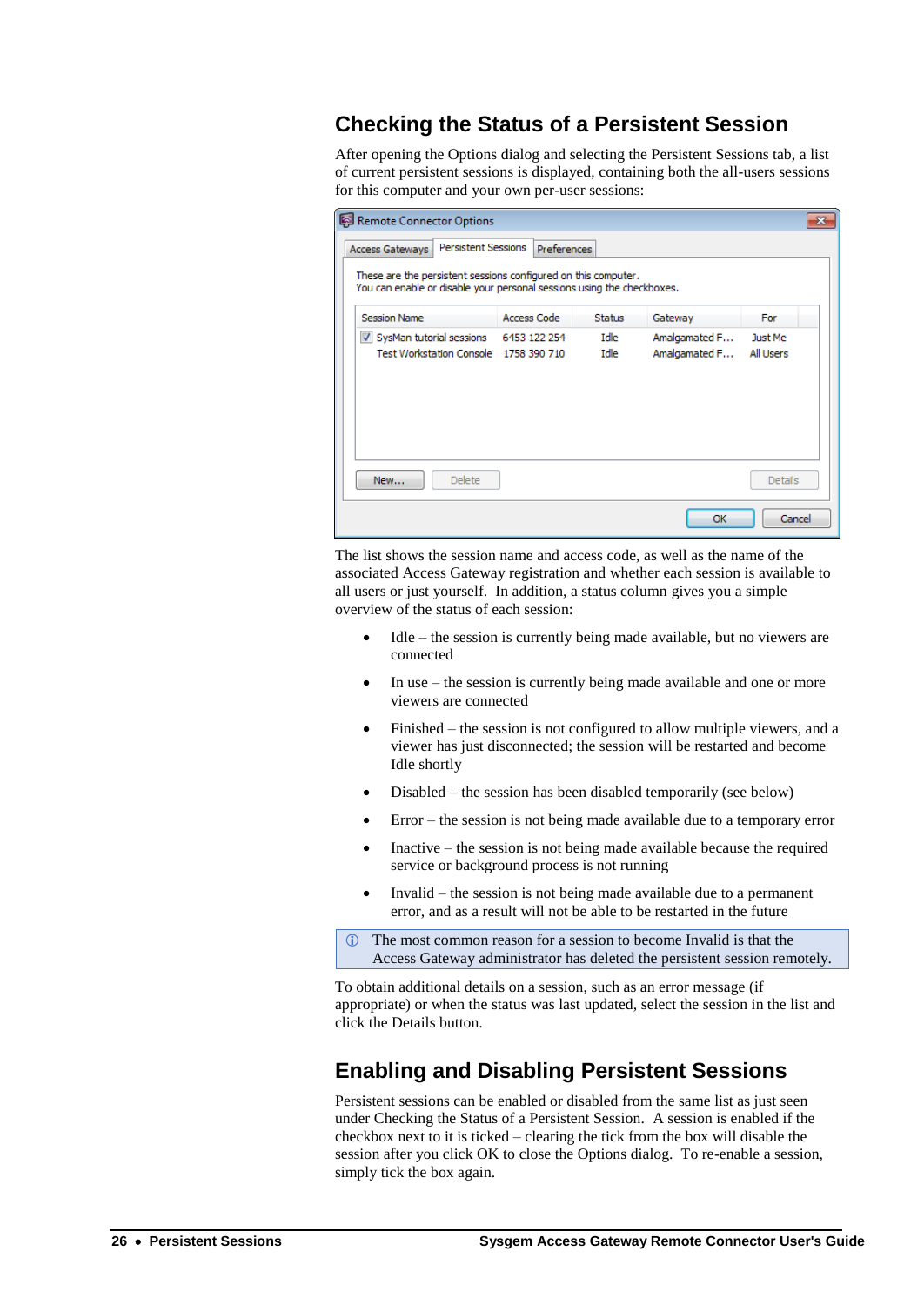### **Checking the Status of a Persistent Session**

<span id="page-29-1"></span>After opening the Options dialog and selecting the Persistent Sessions tab, a list of current persistent sessions is displayed, containing both the all-users sessions for this computer and your own per-user sessions:

| Remote Connector Options<br>$\mathbf{x}$                                                                                                 |              |              |                                |                             |  |  |  |
|------------------------------------------------------------------------------------------------------------------------------------------|--------------|--------------|--------------------------------|-----------------------------|--|--|--|
| <b>Persistent Sessions</b><br><b>Preferences</b><br><b>Access Gateways</b>                                                               |              |              |                                |                             |  |  |  |
| These are the persistent sessions configured on this computer.<br>You can enable or disable your personal sessions using the checkboxes. |              |              |                                |                             |  |  |  |
| <b>Session Name</b>                                                                                                                      | Access Code  | Status       | Gateway                        | For                         |  |  |  |
| V SysMan tutorial sessions<br>Test Workstation Console 1758 390 710                                                                      | 6453 122 254 | Idle<br>Idle | Amalgamated F<br>Amalgamated F | Just Me<br><b>All Users</b> |  |  |  |
| Delete<br>New                                                                                                                            |              |              |                                | <b>Details</b>              |  |  |  |
|                                                                                                                                          |              |              | OK                             | Cancel                      |  |  |  |

The list shows the session name and access code, as well as the name of the associated Access Gateway registration and whether each session is available to all users or just yourself. In addition, a status column gives you a simple overview of the status of each session:

- Idle the session is currently being made available, but no viewers are connected
- In use the session is currently being made available and one or more viewers are connected
- Finished the session is not configured to allow multiple viewers, and a viewer has just disconnected; the session will be restarted and become Idle shortly
- Disabled the session has been disabled temporarily (see below)
- Error the session is not being made available due to a temporary error
- Inactive the session is not being made available because the required service or background process is not running
- $\bullet$  Invalid the session is not being made available due to a permanent error, and as a result will not be able to be restarted in the future

 The most common reason for a session to become Invalid is that the Access Gateway administrator has deleted the persistent session remotely.

To obtain additional details on a session, such as an error message (if appropriate) or when the status was last updated, select the session in the list and click the Details button.

### <span id="page-29-0"></span>**Enabling and Disabling Persistent Sessions**

Persistent sessions can be enabled or disabled from the same list as just seen under [Checking the Status of a Persistent Session.](#page-29-1) A session is enabled if the checkbox next to it is ticked – clearing the tick from the box will disable the session after you click OK to close the Options dialog. To re-enable a session, simply tick the box again.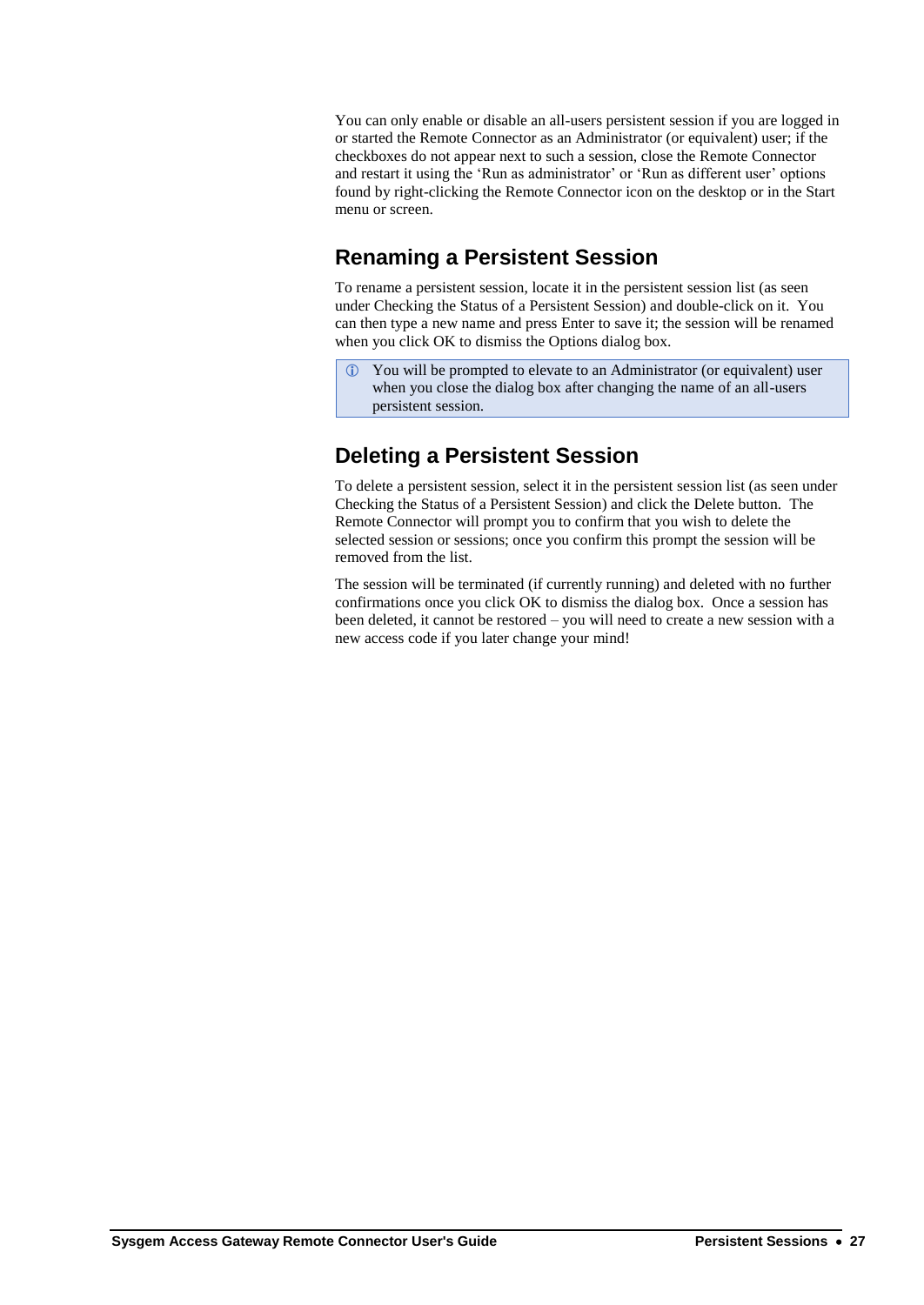You can only enable or disable an all-users persistent session if you are logged in or started the Remote Connector as an Administrator (or equivalent) user; if the checkboxes do not appear next to such a session, close the Remote Connector and restart it using the 'Run as administrator' or 'Run as different user' options found by right-clicking the Remote Connector icon on the desktop or in the Start menu or screen.

## **Renaming a Persistent Session**

To rename a persistent session, locate it in the persistent session list (as seen under [Checking the Status of a Persistent Session\)](#page-29-1) and double-click on it. You can then type a new name and press Enter to save it; the session will be renamed when you click OK to dismiss the Options dialog box.

 You will be prompted to elevate to an Administrator (or equivalent) user when you close the dialog box after changing the name of an all-users persistent session.

## **Deleting a Persistent Session**

To delete a persistent session, select it in the persistent session list (as seen under [Checking the Status of a Persistent Session\)](#page-29-1) and click the Delete button. The Remote Connector will prompt you to confirm that you wish to delete the selected session or sessions; once you confirm this prompt the session will be removed from the list.

The session will be terminated (if currently running) and deleted with no further confirmations once you click OK to dismiss the dialog box. Once a session has been deleted, it cannot be restored – you will need to create a new session with a new access code if you later change your mind!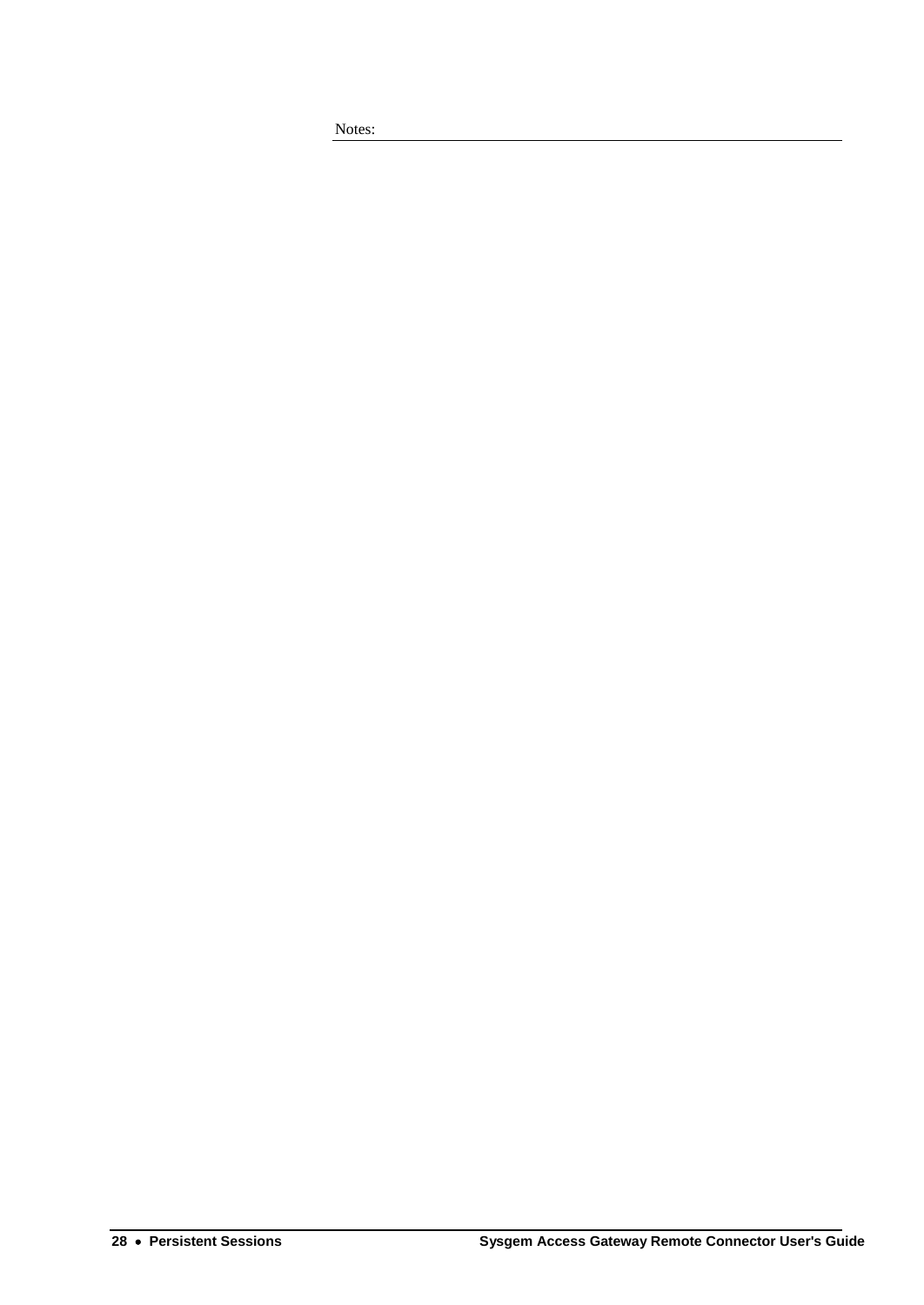Notes: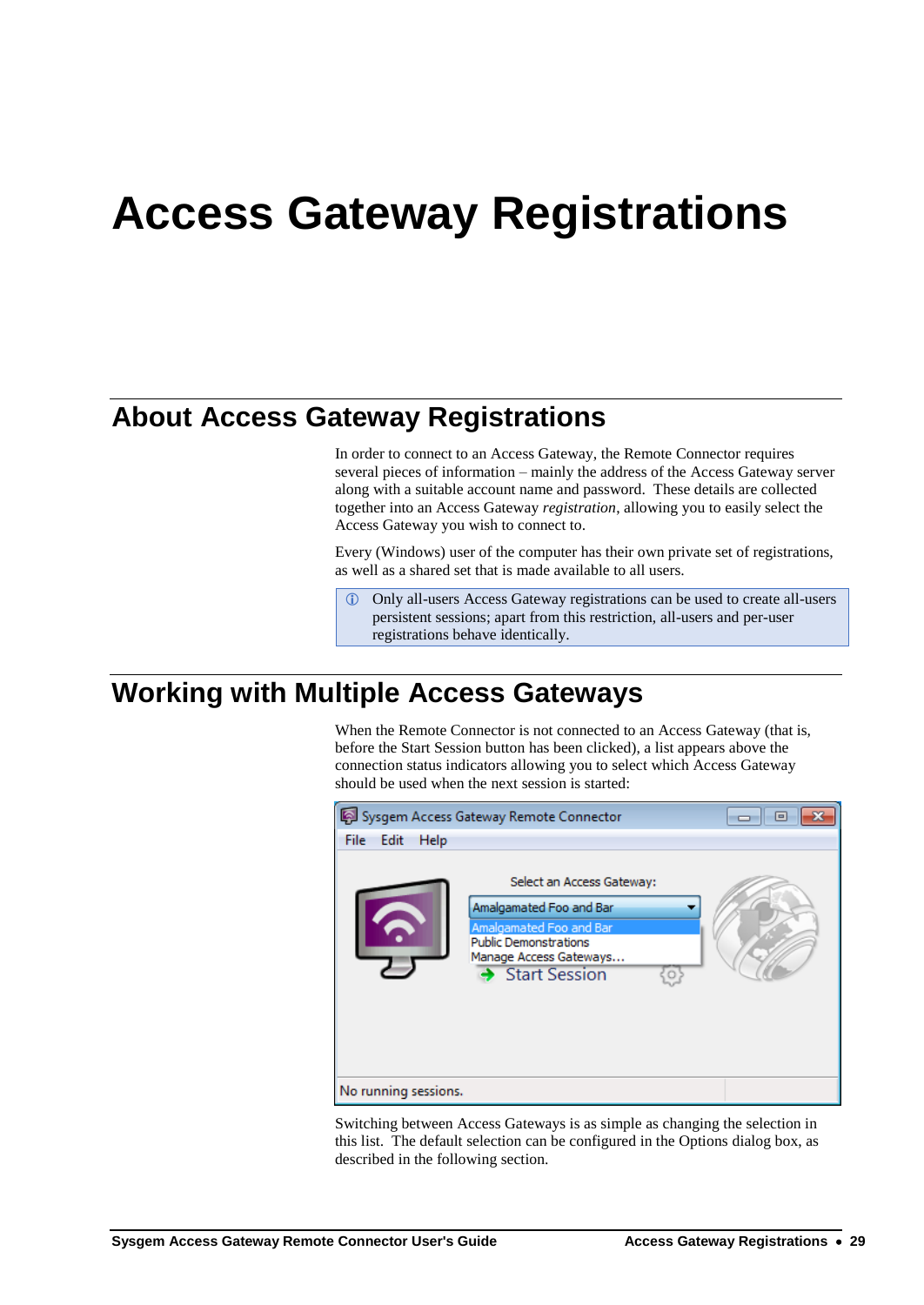# **Access Gateway Registrations**

# **About Access Gateway Registrations**

In order to connect to an Access Gateway, the Remote Connector requires several pieces of information – mainly the address of the Access Gateway server along with a suitable account name and password. These details are collected together into an Access Gateway *registration*, allowing you to easily select the Access Gateway you wish to connect to.

Every (Windows) user of the computer has their own private set of registrations, as well as a shared set that is made available to all users.

 Only all-users Access Gateway registrations can be used to create all-users persistent sessions; apart from this restriction, all-users and per-user registrations behave identically.

## <span id="page-32-0"></span>**Working with Multiple Access Gateways**

When the Remote Connector is not connected to an Access Gateway (that is, before the Start Session button has been clicked), a list appears above the connection status indicators allowing you to select which Access Gateway should be used when the next session is started:

|                      | Sysgem Access Gateway Remote Connector                                                                                                                     | 同 |
|----------------------|------------------------------------------------------------------------------------------------------------------------------------------------------------|---|
| File Edit<br>Help    |                                                                                                                                                            |   |
|                      | Select an Access Gateway:<br>Amalgamated Foo and Bar<br>Amalgamated Foo and Bar<br><b>Public Demonstrations</b><br>Manage Access Gateways<br>Start Session |   |
| No running sessions. |                                                                                                                                                            |   |

Switching between Access Gateways is as simple as changing the selection in this list. The default selection can be configured in the Options dialog box, as described in the following section.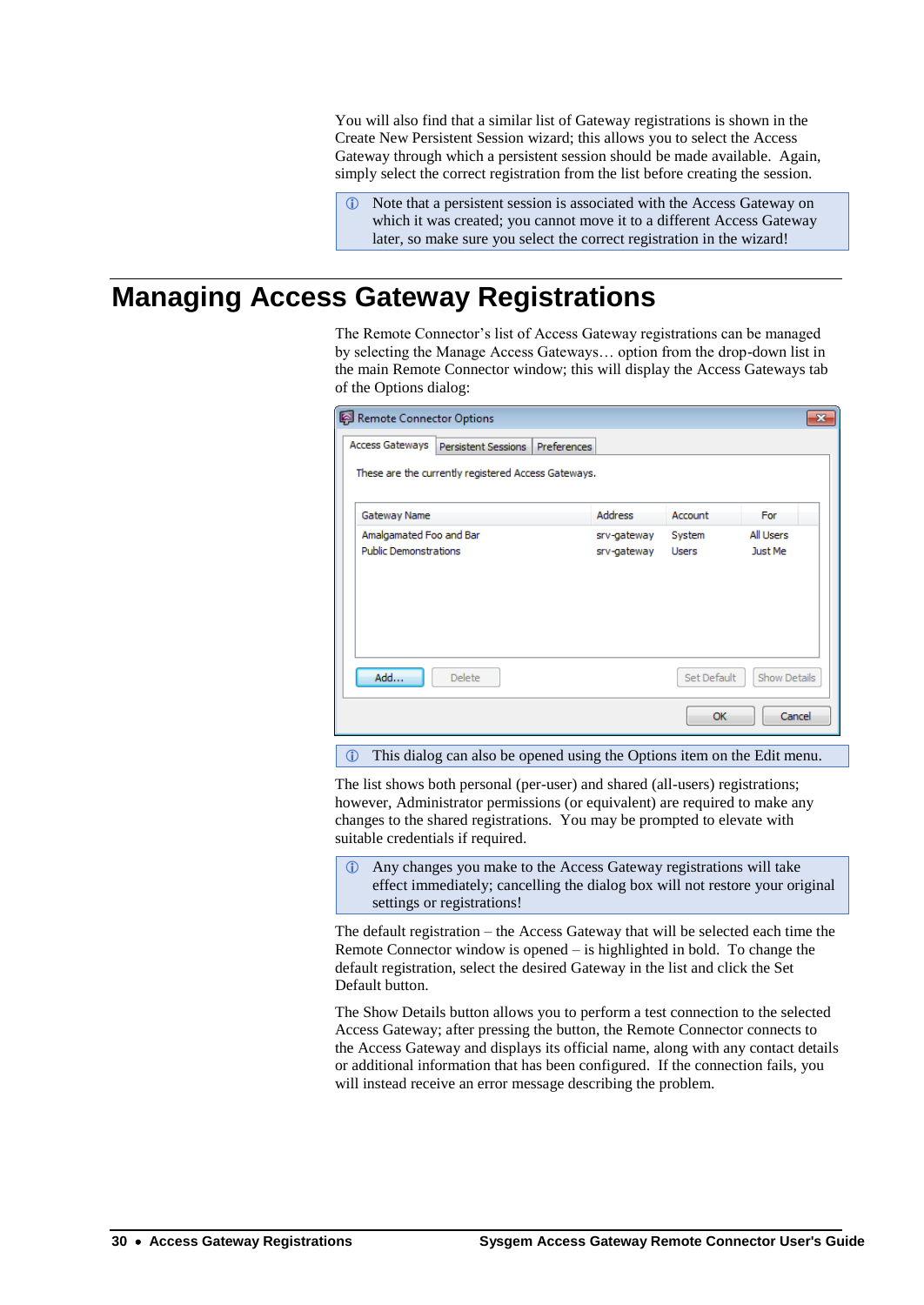You will also find that a similar list of Gateway registrations is shown in the Create New Persistent Session wizard; this allows you to select the Access Gateway through which a persistent session should be made available. Again, simply select the correct registration from the list before creating the session.

 Note that a persistent session is associated with the Access Gateway on which it was created; you cannot move it to a different Access Gateway later, so make sure you select the correct registration in the wizard!

# **Managing Access Gateway Registrations**

The Remote Connector's list of Access Gateway registrations can be managed by selecting the Manage Access Gateways… option from the drop-down list in the main Remote Connector window; this will display the Access Gateways tab of the Options dialog:

| Remote Connector Options     |                                                     |                    |                |             | $\mathbf{x}$ |
|------------------------------|-----------------------------------------------------|--------------------|----------------|-------------|--------------|
| Access Gateways              | Persistent Sessions                                 | <b>Preferences</b> |                |             |              |
|                              | These are the currently registered Access Gateways. |                    |                |             |              |
| Gateway Name                 |                                                     |                    | <b>Address</b> | Account     | For          |
| Amalgamated Foo and Bar      |                                                     |                    | srv-gateway    | System      | All Users    |
| <b>Public Demonstrations</b> |                                                     |                    | srv-gateway    | Users       | Just Me      |
| Add                          | <b>Delete</b>                                       |                    |                | Set Default | Show Details |
|                              |                                                     |                    |                | OK          | Cancel       |

This dialog can also be opened using the Options item on the Edit menu.

The list shows both personal (per-user) and shared (all-users) registrations; however, Administrator permissions (or equivalent) are required to make any changes to the shared registrations. You may be prompted to elevate with suitable credentials if required.

 Any changes you make to the Access Gateway registrations will take effect immediately; cancelling the dialog box will not restore your original settings or registrations!

The default registration – the Access Gateway that will be selected each time the Remote Connector window is opened – is highlighted in bold. To change the default registration, select the desired Gateway in the list and click the Set Default button.

The Show Details button allows you to perform a test connection to the selected Access Gateway; after pressing the button, the Remote Connector connects to the Access Gateway and displays its official name, along with any contact details or additional information that has been configured. If the connection fails, you will instead receive an error message describing the problem.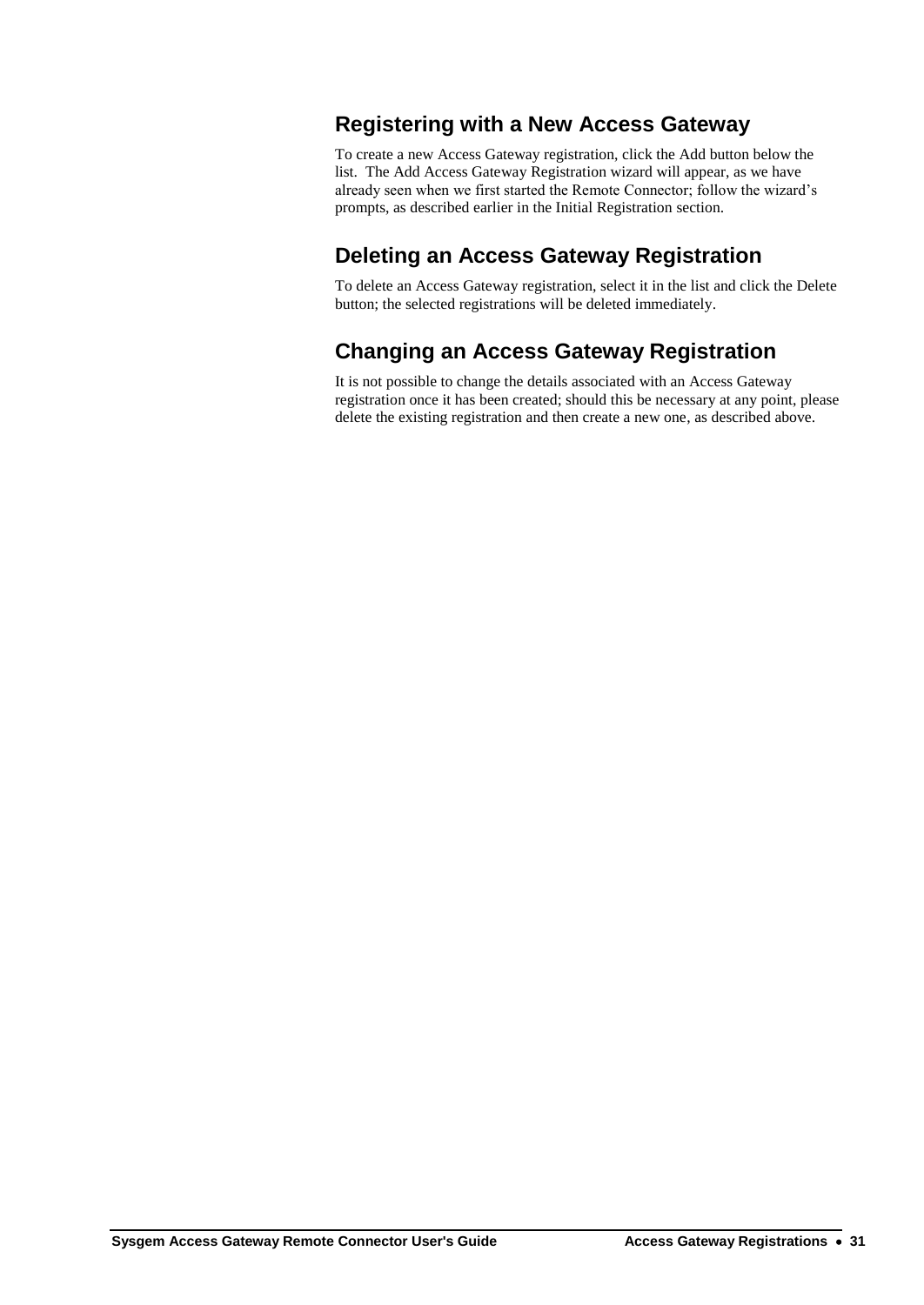## **Registering with a New Access Gateway**

To create a new Access Gateway registration, click the Add button below the list. The Add Access Gateway Registration wizard will appear, as we have already seen when we first started the Remote Connector; follow the wizard's prompts, as described earlier in the [Initial Registration](#page-10-0) section.

## **Deleting an Access Gateway Registration**

To delete an Access Gateway registration, select it in the list and click the Delete button; the selected registrations will be deleted immediately.

## **Changing an Access Gateway Registration**

It is not possible to change the details associated with an Access Gateway registration once it has been created; should this be necessary at any point, please delete the existing registration and then create a new one, as described above.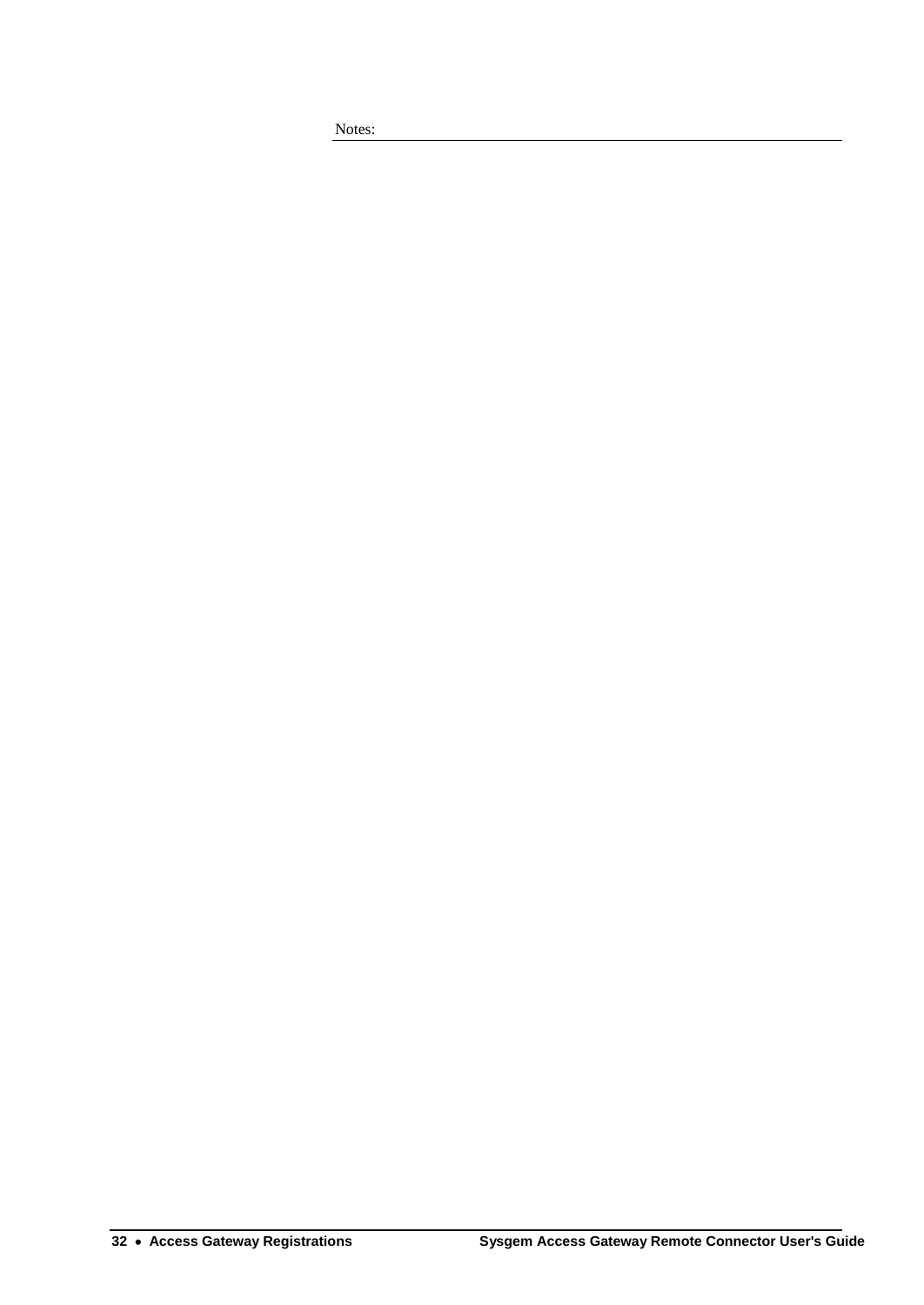Notes: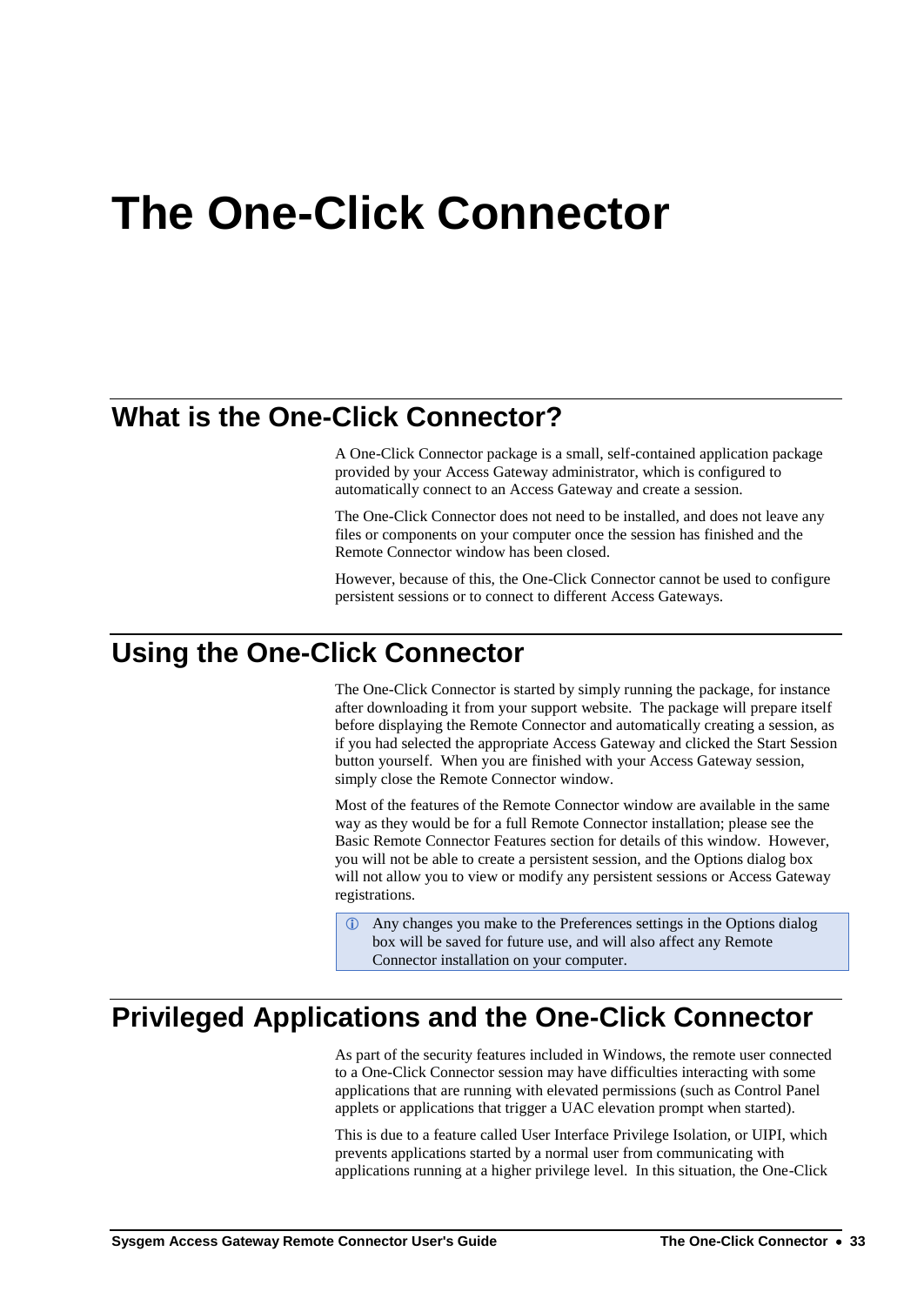# <span id="page-36-0"></span>**The One-Click Connector**

# **What is the One-Click Connector?**

A One-Click Connector package is a small, self-contained application package provided by your Access Gateway administrator, which is configured to automatically connect to an Access Gateway and create a session.

The One-Click Connector does not need to be installed, and does not leave any files or components on your computer once the session has finished and the Remote Connector window has been closed.

However, because of this, the One-Click Connector cannot be used to configure persistent sessions or to connect to different Access Gateways.

# **Using the One-Click Connector**

The One-Click Connector is started by simply running the package, for instance after downloading it from your support website. The package will prepare itself before displaying the Remote Connector and automatically creating a session, as if you had selected the appropriate Access Gateway and clicked the Start Session button yourself. When you are finished with your Access Gateway session, simply close the Remote Connector window.

Most of the features of the Remote Connector window are available in the same way as they would be for a full Remote Connector installation; please see the Basic Remote [Connector Features](#page-20-0) section for details of this window. However, you will not be able to create a persistent session, and the Options dialog box will not allow you to view or modify any persistent sessions or Access Gateway registrations.

 Any changes you make to the Preferences settings in the Options dialog box will be saved for future use, and will also affect any Remote Connector installation on your computer.

## **Privileged Applications and the One-Click Connector**

As part of the security features included in Windows, the remote user connected to a One-Click Connector session may have difficulties interacting with some applications that are running with elevated permissions (such as Control Panel applets or applications that trigger a UAC elevation prompt when started).

This is due to a feature called User Interface Privilege Isolation, or UIPI, which prevents applications started by a normal user from communicating with applications running at a higher privilege level. In this situation, the One-Click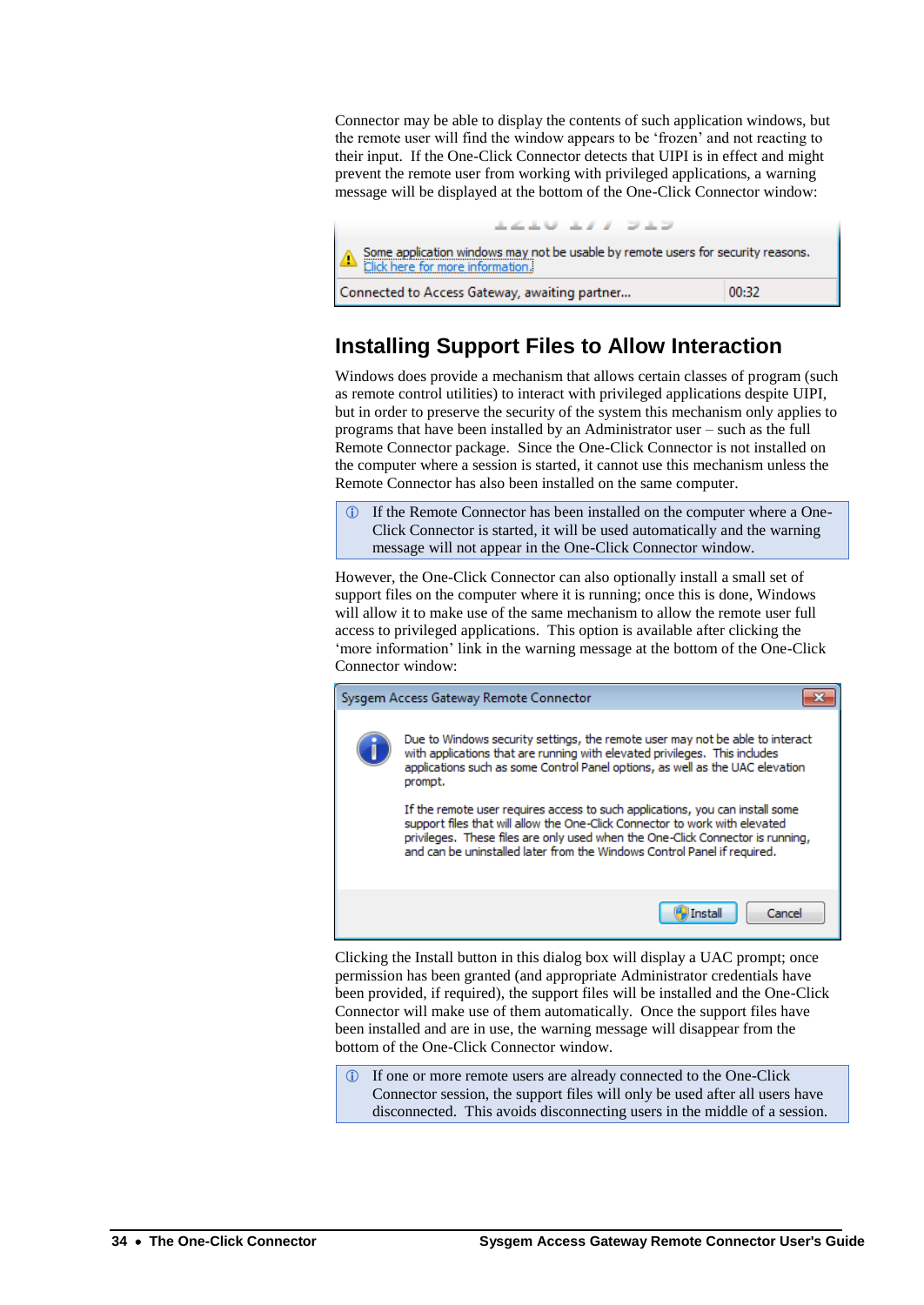Connector may be able to display the contents of such application windows, but the remote user will find the window appears to be 'frozen' and not reacting to their input. If the One-Click Connector detects that UIPI is in effect and might prevent the remote user from working with privileged applications, a warning message will be displayed at the bottom of the One-Click Connector window:



## **Installing Support Files to Allow Interaction**

Windows does provide a mechanism that allows certain classes of program (such as remote control utilities) to interact with privileged applications despite UIPI, but in order to preserve the security of the system this mechanism only applies to programs that have been installed by an Administrator user – such as the full Remote Connector package. Since the One-Click Connector is not installed on the computer where a session is started, it cannot use this mechanism unless the Remote Connector has also been installed on the same computer.

 If the Remote Connector has been installed on the computer where a One-Click Connector is started, it will be used automatically and the warning message will not appear in the One-Click Connector window.

However, the One-Click Connector can also optionally install a small set of support files on the computer where it is running; once this is done, Windows will allow it to make use of the same mechanism to allow the remote user full access to privileged applications. This option is available after clicking the 'more information' link in the warning message at the bottom of the One-Click Connector window:



Clicking the Install button in this dialog box will display a UAC prompt; once permission has been granted (and appropriate Administrator credentials have been provided, if required), the support files will be installed and the One-Click Connector will make use of them automatically. Once the support files have been installed and are in use, the warning message will disappear from the bottom of the One-Click Connector window.

 If one or more remote users are already connected to the One-Click Connector session, the support files will only be used after all users have disconnected. This avoids disconnecting users in the middle of a session.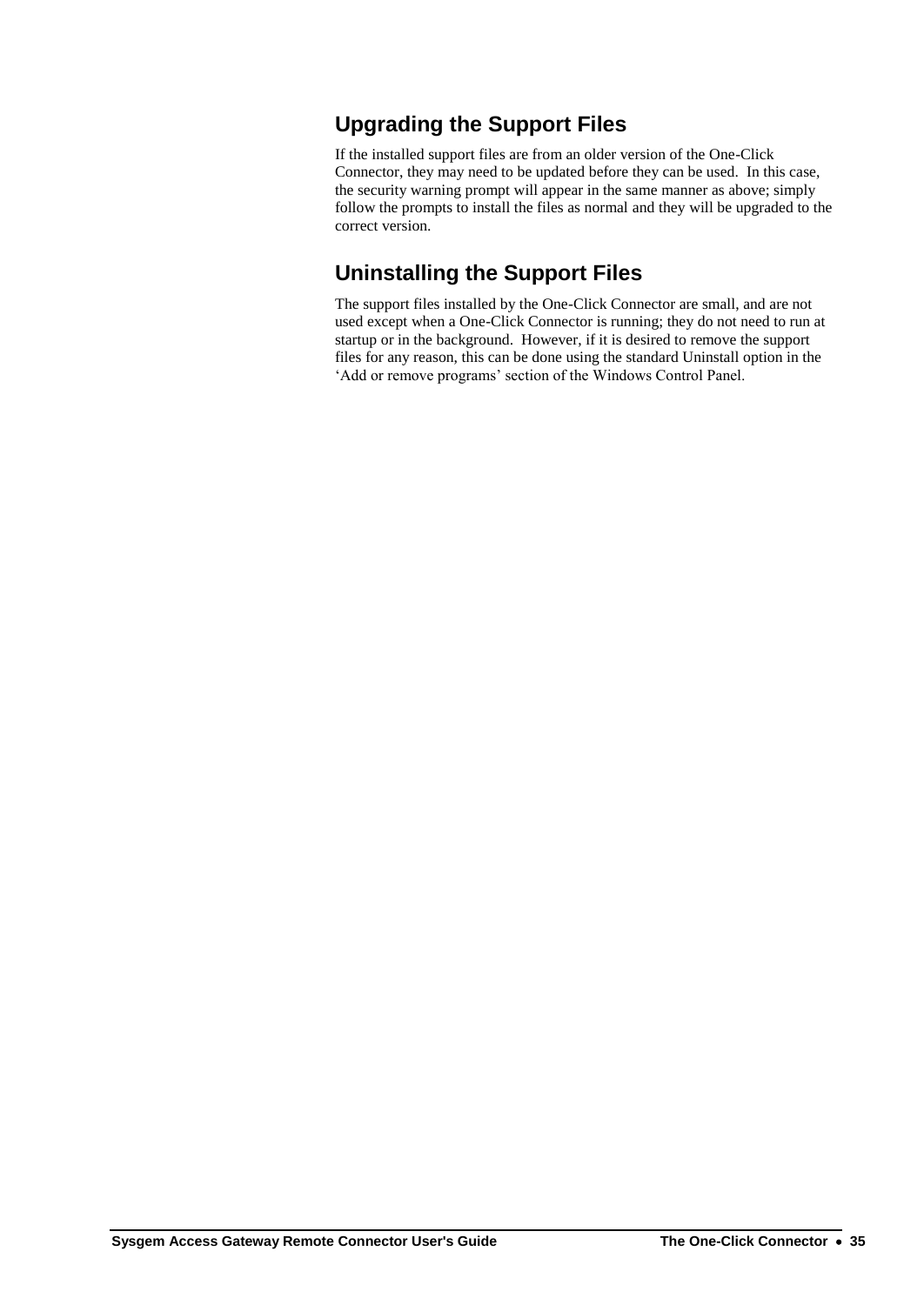## **Upgrading the Support Files**

If the installed support files are from an older version of the One-Click Connector, they may need to be updated before they can be used. In this case, the security warning prompt will appear in the same manner as above; simply follow the prompts to install the files as normal and they will be upgraded to the correct version.

## **Uninstalling the Support Files**

The support files installed by the One-Click Connector are small, and are not used except when a One-Click Connector is running; they do not need to run at startup or in the background. However, if it is desired to remove the support files for any reason, this can be done using the standard Uninstall option in the 'Add or remove programs' section of the Windows Control Panel.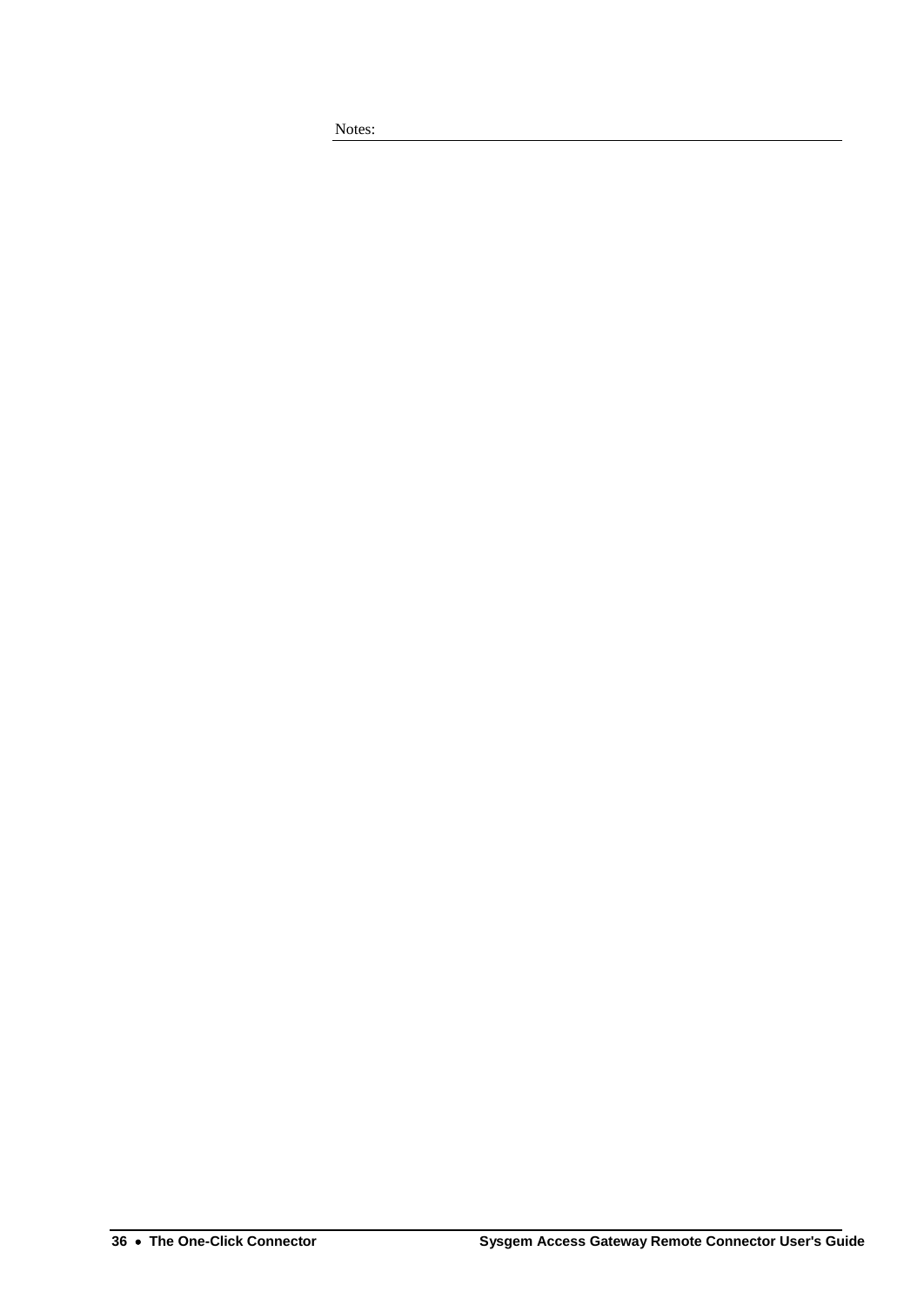Notes: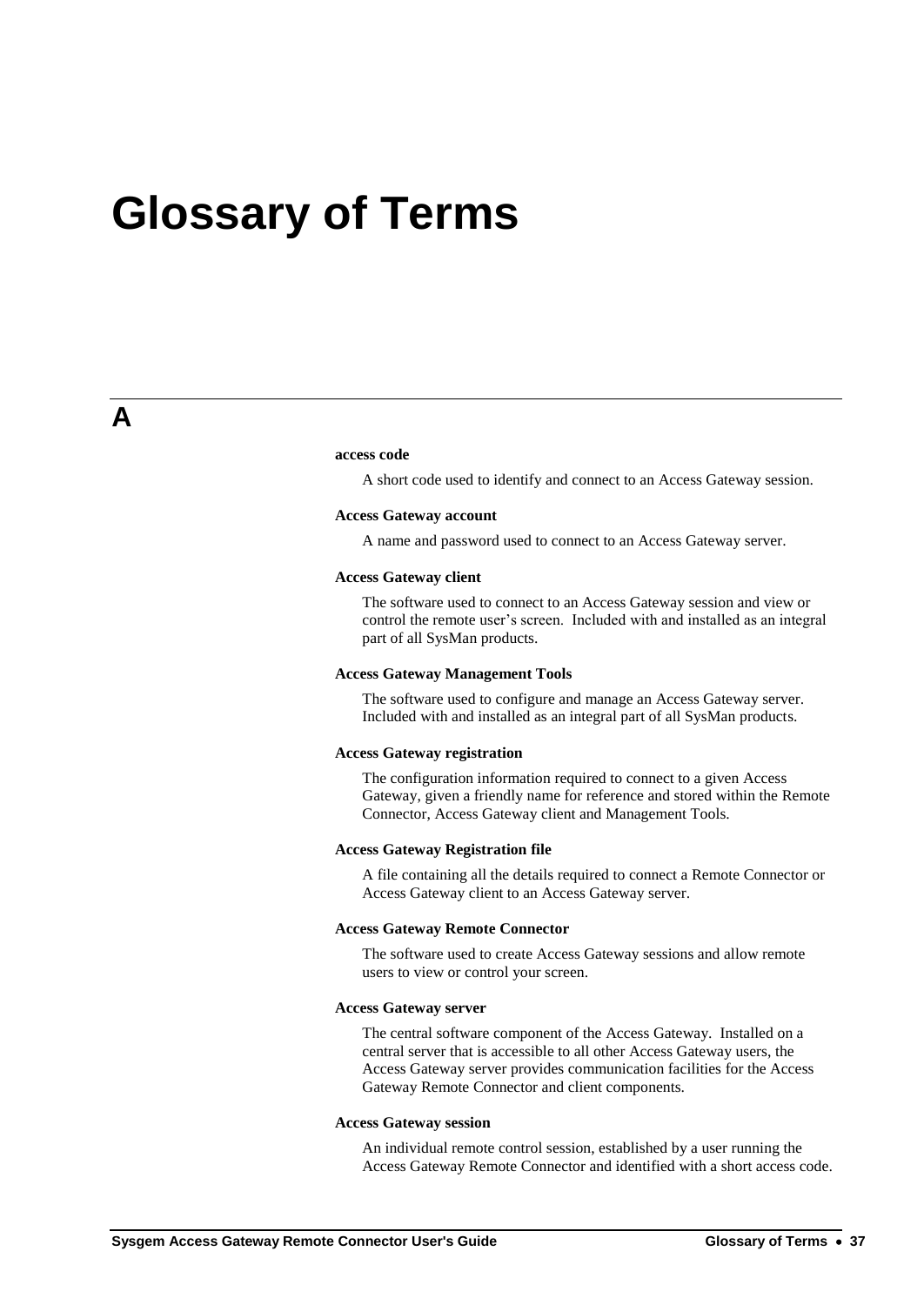# **Glossary of Terms**

#### **access code**

A short code used to identify and connect to an Access Gateway session.

#### **Access Gateway account**

A name and password used to connect to an Access Gateway server.

#### **Access Gateway client**

The software used to connect to an Access Gateway session and view or control the remote user's screen. Included with and installed as an integral part of all SysMan products.

#### **Access Gateway Management Tools**

The software used to configure and manage an Access Gateway server. Included with and installed as an integral part of all SysMan products.

### **Access Gateway registration**

The configuration information required to connect to a given Access Gateway, given a friendly name for reference and stored within the Remote Connector, Access Gateway client and Management Tools.

### **Access Gateway Registration file**

A file containing all the details required to connect a Remote Connector or Access Gateway client to an Access Gateway server.

### **Access Gateway Remote Connector**

The software used to create Access Gateway sessions and allow remote users to view or control your screen.

### **Access Gateway server**

The central software component of the Access Gateway. Installed on a central server that is accessible to all other Access Gateway users, the Access Gateway server provides communication facilities for the Access Gateway Remote Connector and client components.

### **Access Gateway session**

An individual remote control session, established by a user running the Access Gateway Remote Connector and identified with a short access code.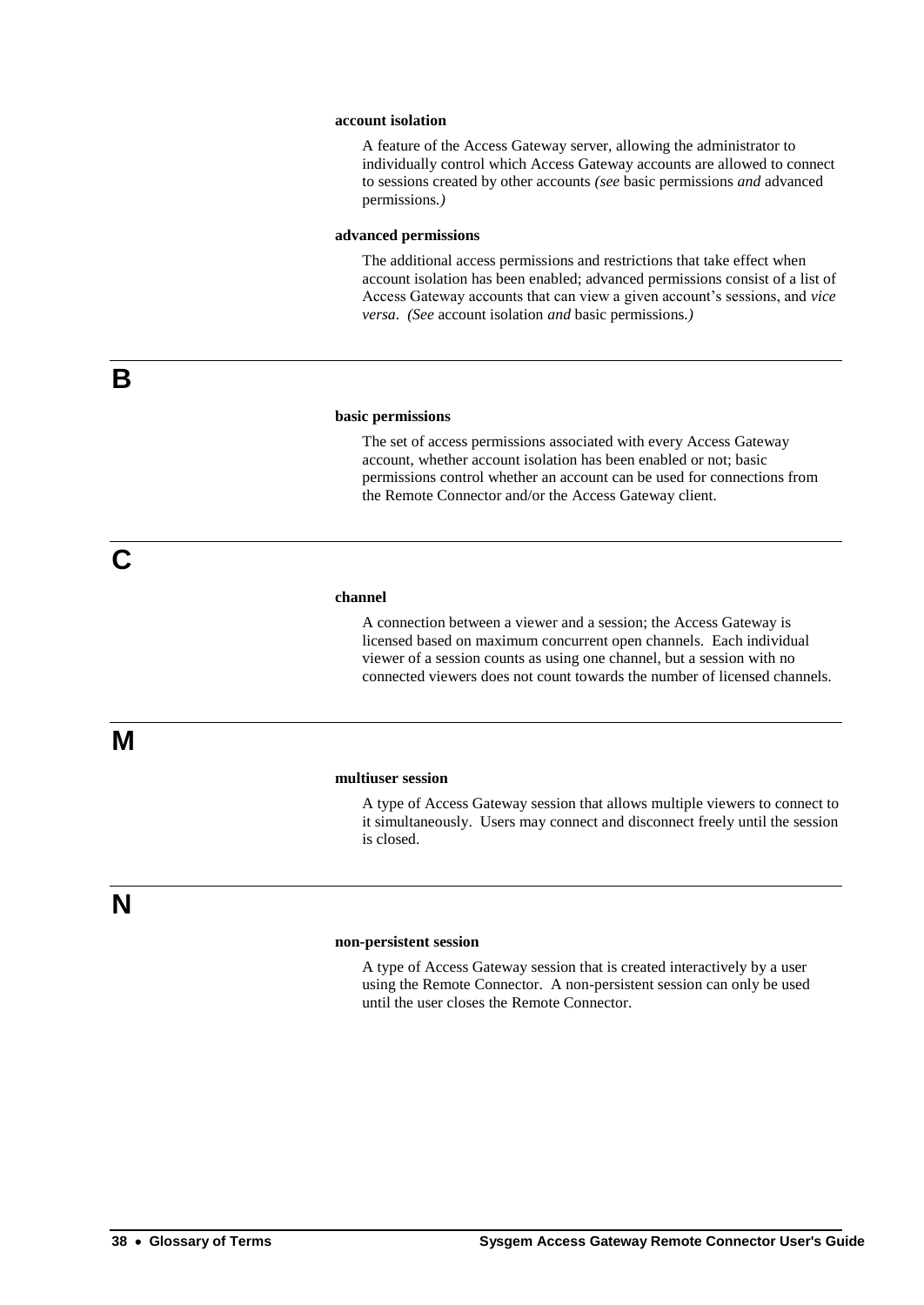### **account isolation**

A feature of the Access Gateway server, allowing the administrator to individually control which Access Gateway accounts are allowed to connect to sessions created by other accounts *(see* basic permissions *and* advanced permissions*.)*

### **advanced permissions**

The additional access permissions and restrictions that take effect when account isolation has been enabled; advanced permissions consist of a list of Access Gateway accounts that can view a given account's sessions, and *vice versa*. *(See* account isolation *and* basic permissions*.)*

**B**

**C**

### **basic permissions**

The set of access permissions associated with every Access Gateway account, whether account isolation has been enabled or not; basic permissions control whether an account can be used for connections from the Remote Connector and/or the Access Gateway client.

#### **channel**

A connection between a viewer and a session; the Access Gateway is licensed based on maximum concurrent open channels. Each individual viewer of a session counts as using one channel, but a session with no connected viewers does not count towards the number of licensed channels.

### **multiuser session**

A type of Access Gateway session that allows multiple viewers to connect to it simultaneously. Users may connect and disconnect freely until the session is closed.

### **N**

**M**

#### **non-persistent session**

A type of Access Gateway session that is created interactively by a user using the Remote Connector. A non-persistent session can only be used until the user closes the Remote Connector.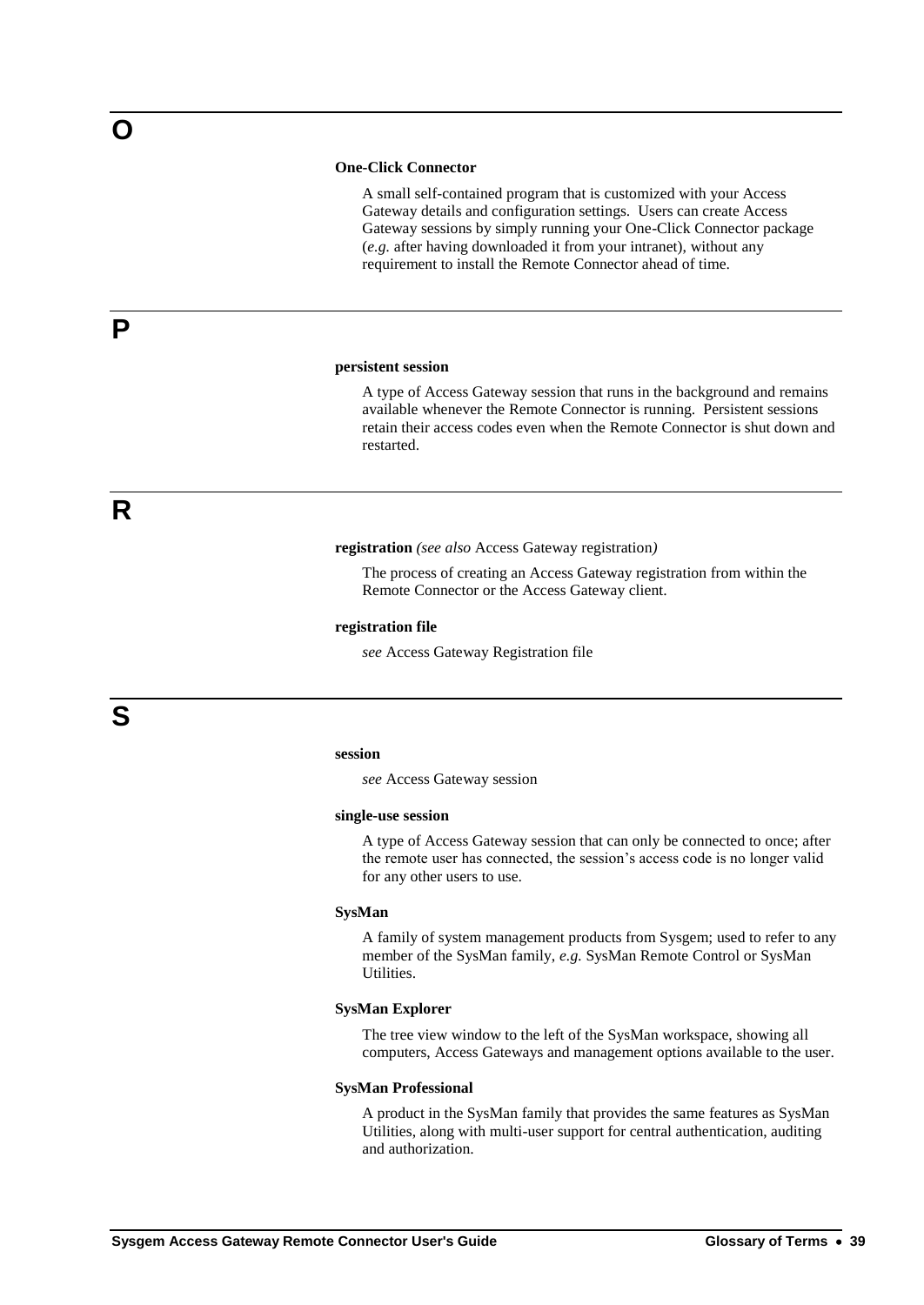### **One-Click Connector**

A small self-contained program that is customized with your Access Gateway details and configuration settings. Users can create Access Gateway sessions by simply running your One-Click Connector package (*e.g.* after having downloaded it from your intranet), without any requirement to install the Remote Connector ahead of time.

### **persistent session**

A type of Access Gateway session that runs in the background and remains available whenever the Remote Connector is running. Persistent sessions retain their access codes even when the Remote Connector is shut down and restarted.

**R**

**P**

**registration** *(see also* Access Gateway registration*)*

The process of creating an Access Gateway registration from within the Remote Connector or the Access Gateway client.

#### **registration file**

*see* Access Gateway Registration file

### **session**

*see* Access Gateway session

#### **single-use session**

A type of Access Gateway session that can only be connected to once; after the remote user has connected, the session's access code is no longer valid for any other users to use.

#### **SysMan**

A family of system management products from Sysgem; used to refer to any member of the SysMan family, *e.g.* SysMan Remote Control or SysMan Utilities.

### **SysMan Explorer**

The tree view window to the left of the SysMan workspace, showing all computers, Access Gateways and management options available to the user.

#### **SysMan Professional**

A product in the SysMan family that provides the same features as SysMan Utilities, along with multi-user support for central authentication, auditing and authorization.